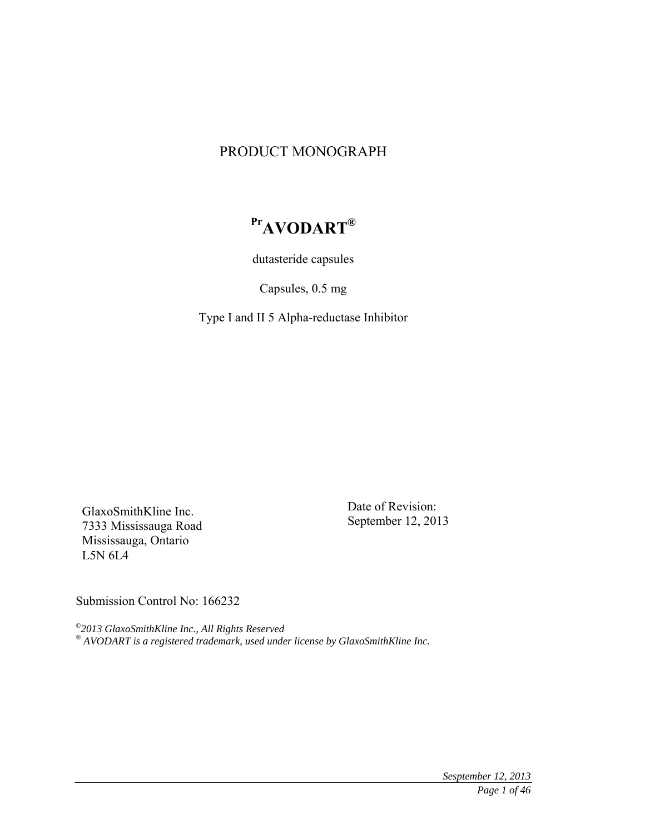# PRODUCT MONOGRAPH

# **PrAVODART®**

dutasteride capsules

Capsules, 0.5 mg

Type I and II 5 Alpha-reductase Inhibitor

GlaxoSmithKline Inc. 7333 Mississauga Road Mississauga, Ontario L5N 6L4

Date of Revision: September 12, 2013

Submission Control No: 166232

*©2013 GlaxoSmithKline Inc., All Rights Reserved ® AVODART is a registered trademark, used under license by GlaxoSmithKline Inc.*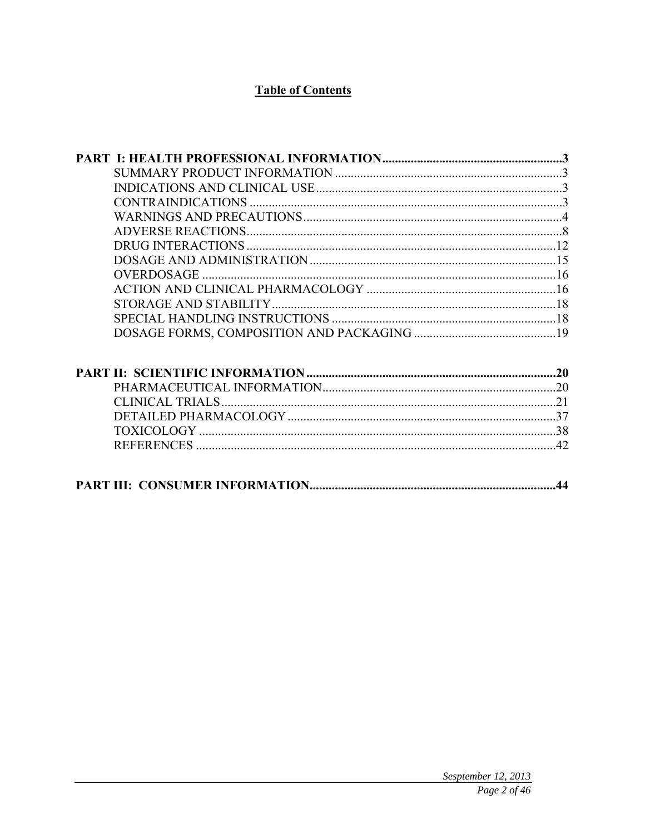# **Table of Contents**

| .44 |
|-----|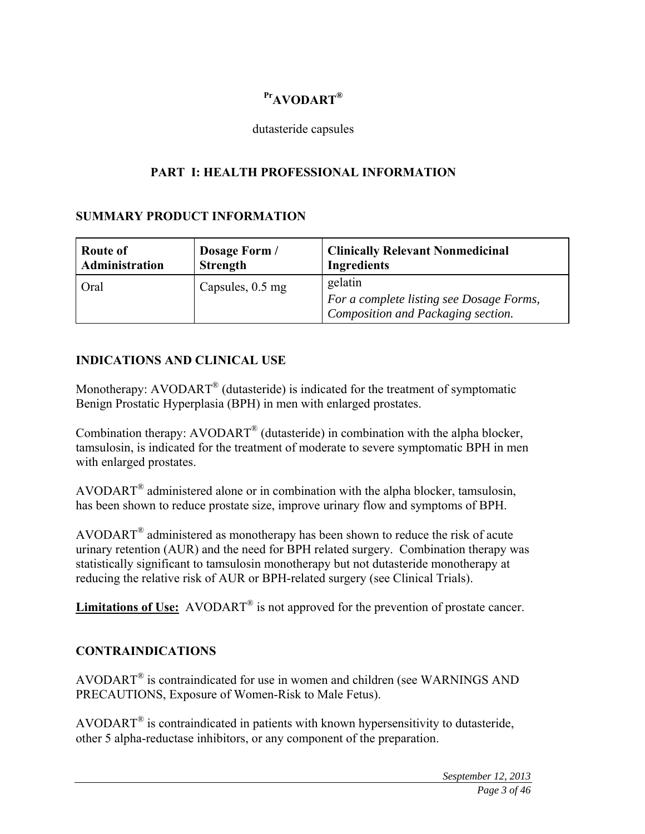# **PrAVODART®**

### dutasteride capsules

# **PART I: HEALTH PROFESSIONAL INFORMATION**

### **SUMMARY PRODUCT INFORMATION**

| Route of<br>Administration | Dosage Form /<br><b>Strength</b> | <b>Clinically Relevant Nonmedicinal</b><br><b>Ingredients</b> |
|----------------------------|----------------------------------|---------------------------------------------------------------|
| Oral                       | Capsules, 0.5 mg                 | gelatin                                                       |
|                            |                                  | For a complete listing see Dosage Forms,                      |
|                            |                                  | Composition and Packaging section.                            |

# **INDICATIONS AND CLINICAL USE**

Monotherapy: AVODART<sup>®</sup> (dutasteride) is indicated for the treatment of symptomatic Benign Prostatic Hyperplasia (BPH) in men with enlarged prostates.

Combination therapy: AVODART® (dutasteride) in combination with the alpha blocker, tamsulosin, is indicated for the treatment of moderate to severe symptomatic BPH in men with enlarged prostates.

AVODART® administered alone or in combination with the alpha blocker, tamsulosin, has been shown to reduce prostate size, improve urinary flow and symptoms of BPH.

AVODART® administered as monotherapy has been shown to reduce the risk of acute urinary retention (AUR) and the need for BPH related surgery. Combination therapy was statistically significant to tamsulosin monotherapy but not dutasteride monotherapy at reducing the relative risk of AUR or BPH-related surgery (see Clinical Trials).

Limitations of Use: AVODART<sup>®</sup> is not approved for the prevention of prostate cancer.

# **CONTRAINDICATIONS**

AVODART® is contraindicated for use in women and children (see WARNINGS AND PRECAUTIONS, Exposure of Women-Risk to Male Fetus).

AVODART® is contraindicated in patients with known hypersensitivity to dutasteride, other 5 alpha-reductase inhibitors, or any component of the preparation.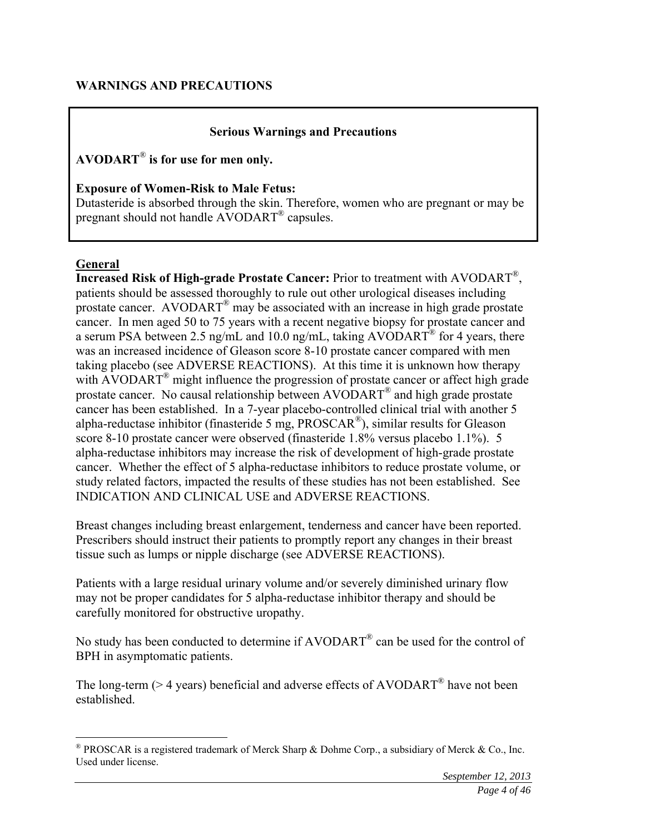### **Serious Warnings and Precautions**

**AVODART**® **is for use for men only.** 

**Exposure of Women-Risk to Male Fetus:** 

Dutasteride is absorbed through the skin. Therefore, women who are pregnant or may be pregnant should not handle AVODART® capsules.

### **General**

 $\overline{a}$ 

**Increased Risk of High-grade Prostate Cancer:** Prior to treatment with AVODART®, patients should be assessed thoroughly to rule out other urological diseases including prostate cancer. AVODART<sup>®</sup> may be associated with an increase in high grade prostate cancer. In men aged 50 to 75 years with a recent negative biopsy for prostate cancer and a serum PSA between 2.5 ng/mL and 10.0 ng/mL, taking AVODART<sup>®</sup> for 4 years, there was an increased incidence of Gleason score 8-10 prostate cancer compared with men taking placebo (see ADVERSE REACTIONS). At this time it is unknown how therapy with AVODART<sup>®</sup> might influence the progression of prostate cancer or affect high grade prostate cancer. No causal relationship between AVODART® and high grade prostate cancer has been established. In a 7-year placebo-controlled clinical trial with another 5 alpha-reductase inhibitor (finasteride 5 mg,  $PROSCAR^{\circledR}$ ), similar results for Gleason score 8-10 prostate cancer were observed (finasteride 1.8% versus placebo 1.1%). 5 alpha-reductase inhibitors may increase the risk of development of high-grade prostate cancer. Whether the effect of 5 alpha-reductase inhibitors to reduce prostate volume, or study related factors, impacted the results of these studies has not been established. See INDICATION AND CLINICAL USE and ADVERSE REACTIONS.

Breast changes including breast enlargement, tenderness and cancer have been reported. Prescribers should instruct their patients to promptly report any changes in their breast tissue such as lumps or nipple discharge (see ADVERSE REACTIONS).

Patients with a large residual urinary volume and/or severely diminished urinary flow may not be proper candidates for 5 alpha-reductase inhibitor therapy and should be carefully monitored for obstructive uropathy.

No study has been conducted to determine if AVODART® can be used for the control of BPH in asymptomatic patients.

The long-term ( $>$  4 years) beneficial and adverse effects of AVODART<sup>®</sup> have not been established.

 $\degree$  PROSCAR is a registered trademark of Merck Sharp & Dohme Corp., a subsidiary of Merck & Co., Inc. Used under license.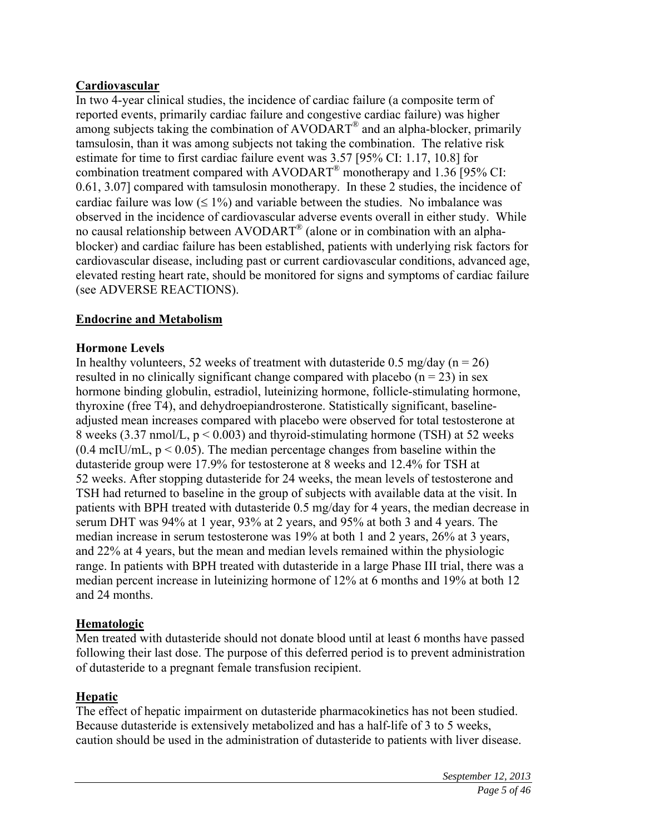# **Cardiovascular**

In two 4-year clinical studies, the incidence of cardiac failure (a composite term of reported events, primarily cardiac failure and congestive cardiac failure) was higher among subjects taking the combination of AVODART® and an alpha-blocker, primarily tamsulosin, than it was among subjects not taking the combination. The relative risk estimate for time to first cardiac failure event was 3.57 [95% CI: 1.17, 10.8] for combination treatment compared with AVODART® monotherapy and 1.36 [95% CI: 0.61, 3.07] compared with tamsulosin monotherapy. In these 2 studies, the incidence of cardiac failure was low  $( \leq 1\%)$  and variable between the studies. No imbalance was observed in the incidence of cardiovascular adverse events overall in either study. While no causal relationship between AVODART® (alone or in combination with an alphablocker) and cardiac failure has been established, patients with underlying risk factors for cardiovascular disease, including past or current cardiovascular conditions, advanced age, elevated resting heart rate, should be monitored for signs and symptoms of cardiac failure (see ADVERSE REACTIONS).

### **Endocrine and Metabolism**

### **Hormone Levels**

In healthy volunteers, 52 weeks of treatment with dutasteride 0.5 mg/day ( $n = 26$ ) resulted in no clinically significant change compared with placebo  $(n = 23)$  in sex hormone binding globulin, estradiol, luteinizing hormone, follicle-stimulating hormone, thyroxine (free T4), and dehydroepiandrosterone. Statistically significant, baselineadjusted mean increases compared with placebo were observed for total testosterone at 8 weeks (3.37 nmol/L,  $p < 0.003$ ) and thyroid-stimulating hormone (TSH) at 52 weeks  $(0.4 \text{ mcIU/mL}, p < 0.05)$ . The median percentage changes from baseline within the dutasteride group were 17.9% for testosterone at 8 weeks and 12.4% for TSH at 52 weeks. After stopping dutasteride for 24 weeks, the mean levels of testosterone and TSH had returned to baseline in the group of subjects with available data at the visit. In patients with BPH treated with dutasteride 0.5 mg/day for 4 years, the median decrease in serum DHT was 94% at 1 year, 93% at 2 years, and 95% at both 3 and 4 years. The median increase in serum testosterone was 19% at both 1 and 2 years, 26% at 3 years, and 22% at 4 years, but the mean and median levels remained within the physiologic range. In patients with BPH treated with dutasteride in a large Phase III trial, there was a median percent increase in luteinizing hormone of 12% at 6 months and 19% at both 12 and 24 months.

### **Hematologic**

Men treated with dutasteride should not donate blood until at least 6 months have passed following their last dose. The purpose of this deferred period is to prevent administration of dutasteride to a pregnant female transfusion recipient.

### **Hepatic**

The effect of hepatic impairment on dutasteride pharmacokinetics has not been studied. Because dutasteride is extensively metabolized and has a half-life of 3 to 5 weeks, caution should be used in the administration of dutasteride to patients with liver disease.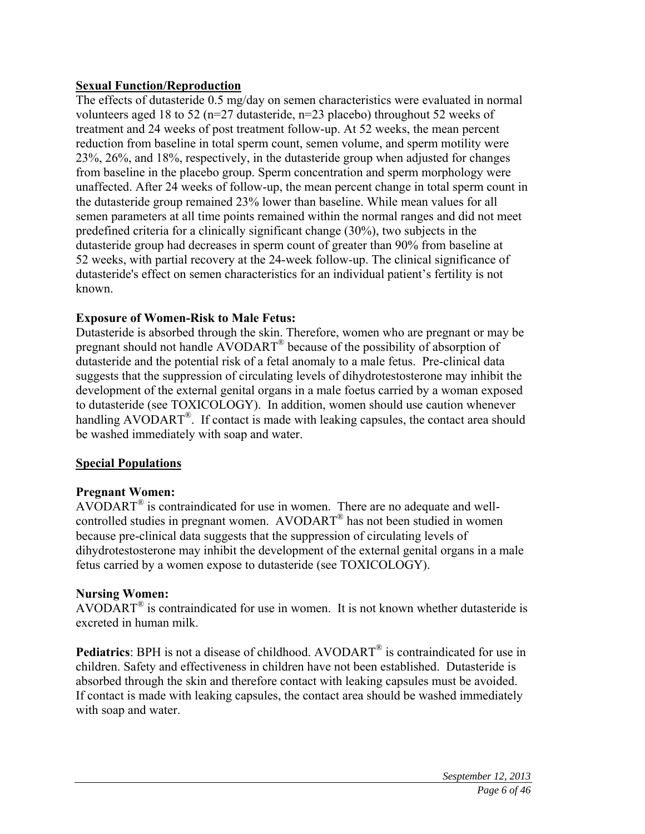# **Sexual Function/Reproduction**

The effects of dutasteride 0.5 mg/day on semen characteristics were evaluated in normal volunteers aged 18 to 52 (n=27 dutasteride, n=23 placebo) throughout 52 weeks of treatment and 24 weeks of post treatment follow-up. At 52 weeks, the mean percent reduction from baseline in total sperm count, semen volume, and sperm motility were 23%, 26%, and 18%, respectively, in the dutasteride group when adjusted for changes from baseline in the placebo group. Sperm concentration and sperm morphology were unaffected. After 24 weeks of follow-up, the mean percent change in total sperm count in the dutasteride group remained 23% lower than baseline. While mean values for all semen parameters at all time points remained within the normal ranges and did not meet predefined criteria for a clinically significant change (30%), two subjects in the dutasteride group had decreases in sperm count of greater than 90% from baseline at 52 weeks, with partial recovery at the 24-week follow-up. The clinical significance of dutasteride's effect on semen characteristics for an individual patient's fertility is not known.

### **Exposure of Women-Risk to Male Fetus:**

Dutasteride is absorbed through the skin. Therefore, women who are pregnant or may be pregnant should not handle AVODART® because of the possibility of absorption of dutasteride and the potential risk of a fetal anomaly to a male fetus. Pre-clinical data suggests that the suppression of circulating levels of dihydrotestosterone may inhibit the development of the external genital organs in a male foetus carried by a woman exposed to dutasteride (see TOXICOLOGY). In addition, women should use caution whenever handling AVODART<sup>®</sup>. If contact is made with leaking capsules, the contact area should be washed immediately with soap and water.

### **Special Populations**

### **Pregnant Women:**

 $AVODART^{\circledast}$  is contraindicated for use in women. There are no adequate and wellcontrolled studies in pregnant women. AVODART® has not been studied in women because pre-clinical data suggests that the suppression of circulating levels of dihydrotestosterone may inhibit the development of the external genital organs in a male fetus carried by a women expose to dutasteride (see TOXICOLOGY).

### **Nursing Women:**

AVODART<sup>®</sup> is contraindicated for use in women. It is not known whether dutasteride is excreted in human milk.

**Pediatrics**: BPH is not a disease of childhood. AVODART<sup>®</sup> is contraindicated for use in children. Safety and effectiveness in children have not been established. Dutasteride is absorbed through the skin and therefore contact with leaking capsules must be avoided. If contact is made with leaking capsules, the contact area should be washed immediately with soap and water.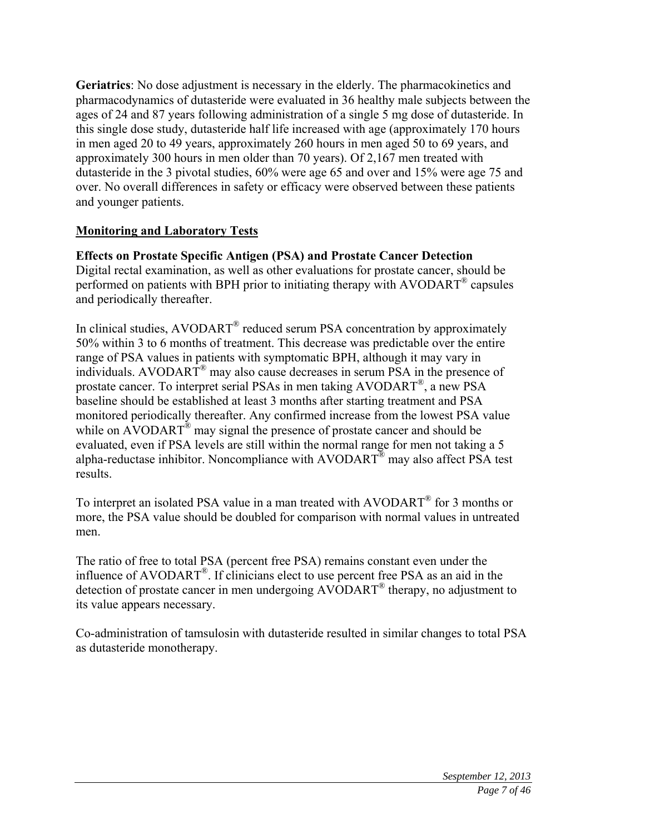**Geriatrics**: No dose adjustment is necessary in the elderly. The pharmacokinetics and pharmacodynamics of dutasteride were evaluated in 36 healthy male subjects between the ages of 24 and 87 years following administration of a single 5 mg dose of dutasteride. In this single dose study, dutasteride half life increased with age (approximately 170 hours in men aged 20 to 49 years, approximately 260 hours in men aged 50 to 69 years, and approximately 300 hours in men older than 70 years). Of 2,167 men treated with dutasteride in the 3 pivotal studies, 60% were age 65 and over and 15% were age 75 and over. No overall differences in safety or efficacy were observed between these patients and younger patients.

### **Monitoring and Laboratory Tests**

# **Effects on Prostate Specific Antigen (PSA) and Prostate Cancer Detection**

Digital rectal examination, as well as other evaluations for prostate cancer, should be performed on patients with BPH prior to initiating therapy with AVODART® capsules and periodically thereafter.

In clinical studies, AVODART<sup>®</sup> reduced serum PSA concentration by approximately 50% within 3 to 6 months of treatment. This decrease was predictable over the entire range of PSA values in patients with symptomatic BPH, although it may vary in individuals. AVODART® may also cause decreases in serum PSA in the presence of prostate cancer. To interpret serial PSAs in men taking AVODART®, a new PSA baseline should be established at least 3 months after starting treatment and PSA monitored periodically thereafter. Any confirmed increase from the lowest PSA value while on AVODART<sup>®</sup> may signal the presence of prostate cancer and should be evaluated, even if PSA levels are still within the normal range for men not taking a 5 alpha-reductase inhibitor. Noncompliance with  $AVODART^{\circledR}$  may also affect PSA test results.

To interpret an isolated PSA value in a man treated with AVODART® for 3 months or more, the PSA value should be doubled for comparison with normal values in untreated men.

The ratio of free to total PSA (percent free PSA) remains constant even under the influence of AVODART®. If clinicians elect to use percent free PSA as an aid in the detection of prostate cancer in men undergoing AVODART® therapy, no adjustment to its value appears necessary.

Co-administration of tamsulosin with dutasteride resulted in similar changes to total PSA as dutasteride monotherapy.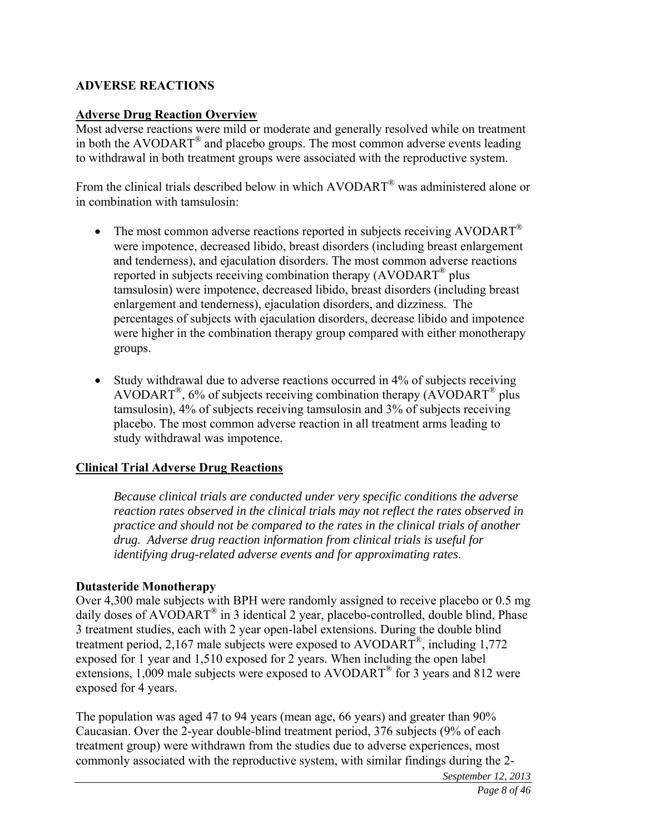### **ADVERSE REACTIONS**

#### **Adverse Drug Reaction Overview**

Most adverse reactions were mild or moderate and generally resolved while on treatment in both the AVODART<sup>®</sup> and placebo groups. The most common adverse events leading to withdrawal in both treatment groups were associated with the reproductive system.

From the clinical trials described below in which AVODART® was administered alone or in combination with tamsulosin:

- The most common adverse reactions reported in subjects receiving AVODART<sup>®</sup> were impotence, decreased libido, breast disorders (including breast enlargement and tenderness), and ejaculation disorders. The most common adverse reactions reported in subjects receiving combination therapy  $(AVODART^{\circledast})$  plus tamsulosin) were impotence, decreased libido, breast disorders (including breast enlargement and tenderness), ejaculation disorders, and dizziness. The percentages of subjects with ejaculation disorders, decrease libido and impotence were higher in the combination therapy group compared with either monotherapy groups.
- Study withdrawal due to adverse reactions occurred in 4% of subjects receiving AVODART<sup>®</sup>, 6% of subjects receiving combination therapy (AVODART<sup>®</sup> plus tamsulosin), 4% of subjects receiving tamsulosin and 3% of subjects receiving placebo. The most common adverse reaction in all treatment arms leading to study withdrawal was impotence.

### **Clinical Trial Adverse Drug Reactions**

*Because clinical trials are conducted under very specific conditions the adverse reaction rates observed in the clinical trials may not reflect the rates observed in practice and should not be compared to the rates in the clinical trials of another drug. Adverse drug reaction information from clinical trials is useful for identifying drug-related adverse events and for approximating rates*.

### **Dutasteride Monotherapy**

Over 4,300 male subjects with BPH were randomly assigned to receive placebo or 0.5 mg daily doses of AVODART<sup>®</sup> in 3 identical 2 year, placebo-controlled, double blind, Phase 3 treatment studies, each with 2 year open-label extensions. During the double blind treatment period, 2,167 male subjects were exposed to AVODART<sup>®</sup>, including 1,772 exposed for 1 year and 1,510 exposed for 2 years. When including the open label extensions, 1,009 male subjects were exposed to AVODART<sup>®</sup> for 3 years and 812 were exposed for 4 years.

The population was aged 47 to 94 years (mean age, 66 years) and greater than 90% Caucasian. Over the 2-year double-blind treatment period, 376 subjects (9% of each treatment group) were withdrawn from the studies due to adverse experiences, most commonly associated with the reproductive system, with similar findings during the 2-

*Sesptember 12, 2013*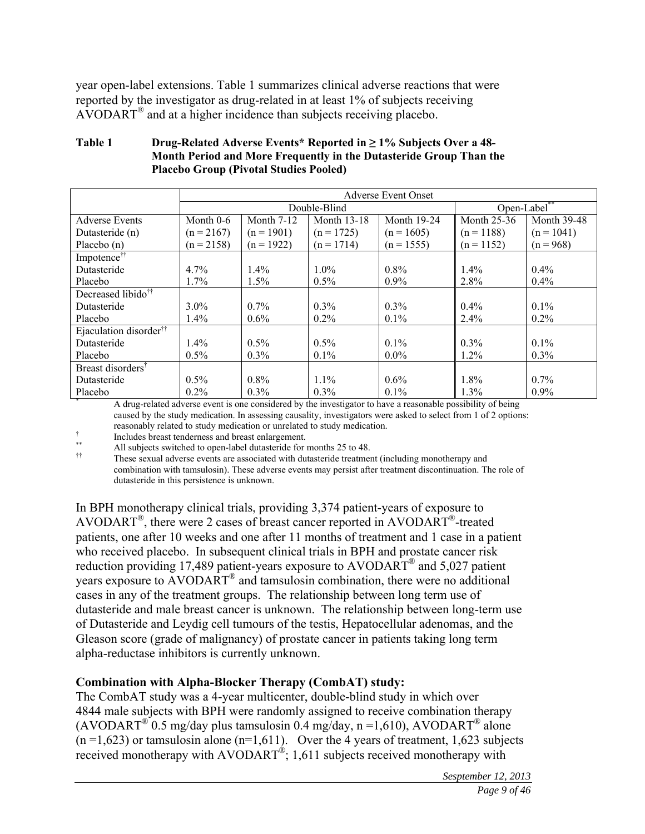year open-label extensions. Table 1 summarizes clinical adverse reactions that were reported by the investigator as drug-related in at least 1% of subjects receiving AVODART® and at a higher incidence than subjects receiving placebo.

#### **Table 1 Drug-Related Adverse Events\* Reported in ≥ 1% Subjects Over a 48- Month Period and More Frequently in the Dutasteride Group Than the Placebo Group (Pivotal Studies Pooled)**

|                                    | <b>Adverse Event Onset</b> |                   |                    |                                                                                                              |                    |                    |  |
|------------------------------------|----------------------------|-------------------|--------------------|--------------------------------------------------------------------------------------------------------------|--------------------|--------------------|--|
|                                    |                            | Double-Blind      |                    |                                                                                                              | Open-Label**       |                    |  |
| <b>Adverse Events</b>              | Month $0-6$                | <b>Month 7-12</b> | <b>Month 13-18</b> | Month 19-24                                                                                                  | <b>Month 25-36</b> | <b>Month 39-48</b> |  |
| Dutasteride (n)                    | $(n = 2167)$               | $(n = 1901)$      | $(n = 1725)$       | $(n = 1605)$                                                                                                 | $(n = 1188)$       | $(n = 1041)$       |  |
| Placebo $(n)$                      | $(n = 2158)$               | $(n = 1922)$      | $(n = 1714)$       | $(n = 1555)$                                                                                                 | $(n = 1152)$       | $(n = 968)$        |  |
| Impotence <sup>††</sup>            |                            |                   |                    |                                                                                                              |                    |                    |  |
| Dutasteride                        | 4.7%                       | $1.4\%$           | 1.0%               | $0.8\%$                                                                                                      | $1.4\%$            | $0.4\%$            |  |
| Placebo                            | 1.7%                       | 1.5%              | 0.5%               | $0.9\%$                                                                                                      | 2.8%               | $0.4\%$            |  |
| Decreased libido <sup>††</sup>     |                            |                   |                    |                                                                                                              |                    |                    |  |
| Dutasteride                        | $3.0\%$                    | $0.7\%$           | $0.3\%$            | $0.3\%$                                                                                                      | $0.4\%$            | $0.1\%$            |  |
| Placebo                            | 1.4%                       | 0.6%              | $0.2\%$            | $0.1\%$                                                                                                      | 2.4%               | $0.2\%$            |  |
| Ejaculation disorder <sup>††</sup> |                            |                   |                    |                                                                                                              |                    |                    |  |
| Dutasteride                        | 1.4%                       | $0.5\%$           | 0.5%               | $0.1\%$                                                                                                      | $0.3\%$            | $0.1\%$            |  |
| Placebo                            | $0.5\%$                    | $0.3\%$           | $0.1\%$            | $0.0\%$                                                                                                      | $1.2\%$            | $0.3\%$            |  |
| Breast disorders <sup>†</sup>      |                            |                   |                    |                                                                                                              |                    |                    |  |
| Dutasteride                        | 0.5%                       | $0.8\%$           | 1.1%               | $0.6\%$                                                                                                      | 1.8%               | $0.7\%$            |  |
| Placebo                            | $0.2\%$                    | $0.3\%$           | $0.3\%$            | $0.1\%$                                                                                                      | 1.3%               | $0.9\%$            |  |
|                                    |                            |                   |                    | A drug-related adverse event is one considered by the investigator to have a reasonable possibility of being |                    |                    |  |

caused by the study medication. In assessing causality, investigators were asked to select from 1 of 2 options: reasonably related to study medication or unrelated to study medication.

† <sup>†</sup> Includes breast tenderness and breast enlargement.

\*\*<br>All subjects switched to open-label dutasteride for months 25 to 48.

†† These sexual adverse events are associated with dutasteride treatment (including monotherapy and combination with tamsulosin). These adverse events may persist after treatment discontinuation. The role of dutasteride in this persistence is unknown.

In BPH monotherapy clinical trials, providing 3,374 patient-years of exposure to AVODART®, there were 2 cases of breast cancer reported in AVODART®-treated patients, one after 10 weeks and one after 11 months of treatment and 1 case in a patient who received placebo. In subsequent clinical trials in BPH and prostate cancer risk reduction providing 17,489 patient-years exposure to AVODART® and 5,027 patient years exposure to AVODART® and tamsulosin combination, there were no additional cases in any of the treatment groups. The relationship between long term use of dutasteride and male breast cancer is unknown. The relationship between long-term use of Dutasteride and Leydig cell tumours of the testis, Hepatocellular adenomas, and the Gleason score (grade of malignancy) of prostate cancer in patients taking long term alpha-reductase inhibitors is currently unknown.

### **Combination with Alpha-Blocker Therapy (CombAT) study:**

The CombAT study was a 4-year multicenter, double-blind study in which over 4844 male subjects with BPH were randomly assigned to receive combination therapy (AVODART<sup>®</sup> 0.5 mg/day plus tamsulosin 0.4 mg/day, n =1,610), AVODART<sup>®</sup> alone  $(n=1,623)$  or tamsulosin alone  $(n=1,611)$ . Over the 4 years of treatment, 1,623 subjects received monotherapy with  $AVODART^{\circledast}$ ; 1,611 subjects received monotherapy with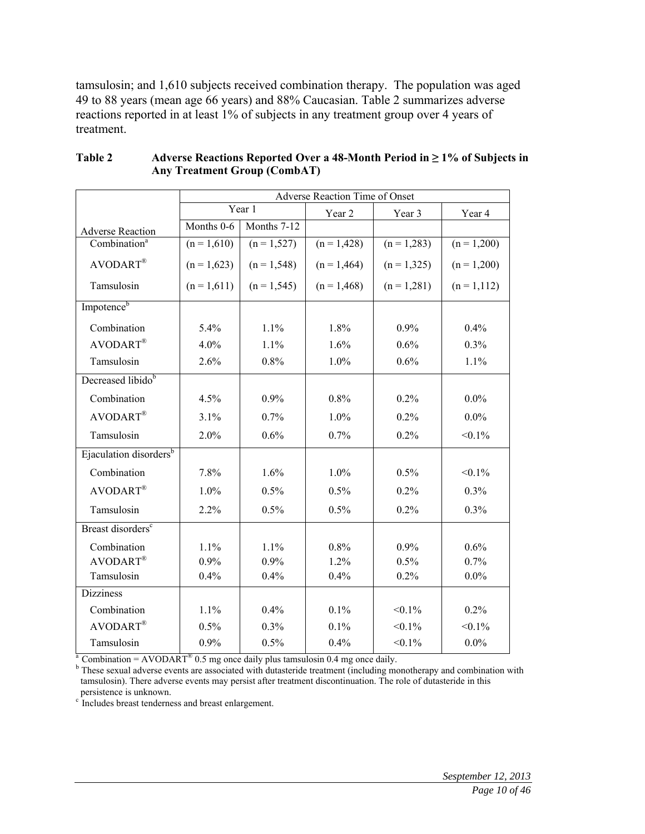tamsulosin; and 1,610 subjects received combination therapy. The population was aged 49 to 88 years (mean age 66 years) and 88% Caucasian. Table 2 summarizes adverse reactions reported in at least 1% of subjects in any treatment group over 4 years of treatment.

|                                    |               | Adverse Reaction Time of Onset |               |               |                |  |  |  |
|------------------------------------|---------------|--------------------------------|---------------|---------------|----------------|--|--|--|
|                                    |               | Year 1                         | Year 2        | Year 3        | Year 4         |  |  |  |
| <b>Adverse Reaction</b>            | Months 0-6    | Months 7-12                    |               |               |                |  |  |  |
| Combination <sup>a</sup>           | $(n = 1,610)$ | $(n = 1,527)$                  | $(n = 1,428)$ | $(n = 1,283)$ | $(n = 1,200)$  |  |  |  |
| AVODART®                           | $(n = 1,623)$ | $(n = 1,548)$                  | $(n = 1,464)$ | $(n = 1,325)$ | $(n = 1,200)$  |  |  |  |
| Tamsulosin                         | $(n = 1,611)$ | $(n = 1, 545)$                 | $(n = 1,468)$ | $(n = 1,281)$ | $(n = 1, 112)$ |  |  |  |
| Impotence <sup>b</sup>             |               |                                |               |               |                |  |  |  |
| Combination                        | $5.4\%$       | 1.1%                           | 1.8%          | $0.9\%$       | 0.4%           |  |  |  |
| $AVODART^{\circledR}$              | 4.0%          | 1.1%                           | 1.6%          | 0.6%          | 0.3%           |  |  |  |
| Tamsulosin                         | 2.6%          | 0.8%                           | 1.0%          | 0.6%          | 1.1%           |  |  |  |
| Decreased libido <sup>b</sup>      |               |                                |               |               |                |  |  |  |
| Combination                        | 4.5%          | 0.9%                           | 0.8%          | 0.2%          | $0.0\%$        |  |  |  |
| AVODART®                           | 3.1%          | 0.7%                           | 1.0%          | 0.2%          | $0.0\%$        |  |  |  |
| Tamsulosin                         | 2.0%          | 0.6%                           | 0.7%          | 0.2%          | $< 0.1\%$      |  |  |  |
| Ejaculation disorders <sup>b</sup> |               |                                |               |               |                |  |  |  |
| Combination                        | $7.8\%$       | $1.6\%$                        | $1.0\%$       | 0.5%          | $< 0.1\%$      |  |  |  |
| AVODART <sup>®</sup>               | 1.0%          | 0.5%                           | 0.5%          | 0.2%          | 0.3%           |  |  |  |
| Tamsulosin                         | 2.2%          | 0.5%                           | 0.5%          | 0.2%          | 0.3%           |  |  |  |
| Breast disorders <sup>c</sup>      |               |                                |               |               |                |  |  |  |
| Combination                        | 1.1%          | 1.1%                           | 0.8%          | 0.9%          | 0.6%           |  |  |  |
| AVODART <sup>®</sup>               | $0.9\%$       | 0.9%                           | 1.2%          | 0.5%          | 0.7%           |  |  |  |
| Tamsulosin                         | $0.4\%$       | 0.4%                           | 0.4%          | 0.2%          | $0.0\%$        |  |  |  |
| <b>Dizziness</b>                   |               |                                |               |               |                |  |  |  |
| Combination                        | 1.1%          | $0.4\%$                        | $0.1\%$       | $< 0.1\%$     | $0.2\%$        |  |  |  |
| <b>AVODART®</b>                    | 0.5%          | $0.3\%$                        | 0.1%          | $< 0.1\%$     | $< 0.1\%$      |  |  |  |
| Tamsulosin                         | $0.9\%$       | 0.5%                           | 0.4%          | $< 0.1\%$     | $0.0\%$        |  |  |  |

| Table 2 | Adverse Reactions Reported Over a 48-Month Period in $\geq$ 1% of Subjects in |
|---------|-------------------------------------------------------------------------------|
|         | <b>Any Treatment Group (CombAT)</b>                                           |

<sup>a</sup> Combination = AVODART<sup>®</sup> 0.5 mg once daily plus tamsulosin 0.4 mg once daily.

<sup>b</sup> These sexual adverse events are associated with dutasteride treatment (including monotherapy and combination with tamsulosin). There adverse events may persist after treatment discontinuation. The role of dutasteride in this persistence is unknown.

<sup>c</sup> Includes breast tenderness and breast enlargement.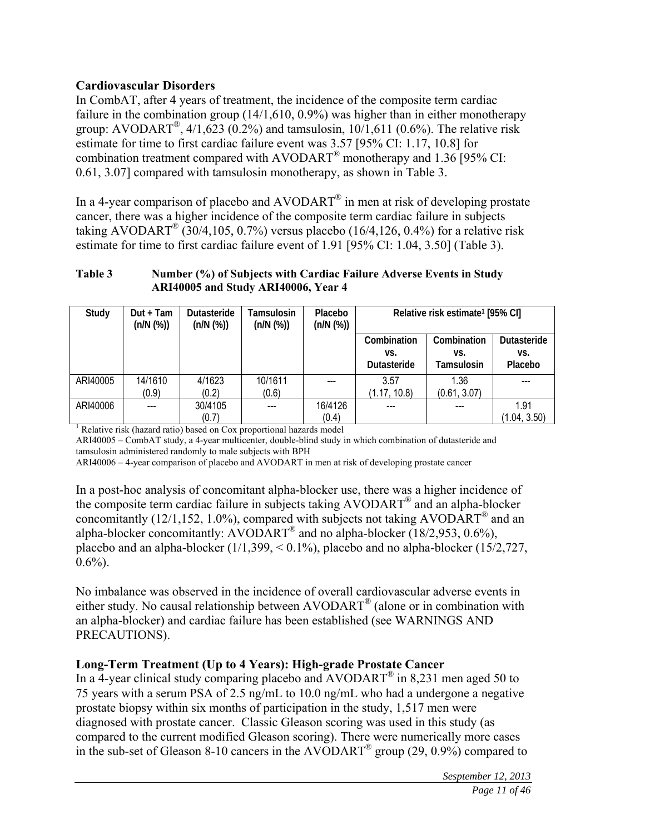# **Cardiovascular Disorders**

In CombAT, after 4 years of treatment, the incidence of the composite term cardiac failure in the combination group (14/1,610, 0.9%) was higher than in either monotherapy group: AVODART<sup>®</sup>,  $4/1,623$  (0.2%) and tamsulosin,  $10/1,611$  (0.6%). The relative risk estimate for time to first cardiac failure event was 3.57 [95% CI: 1.17, 10.8] for combination treatment compared with AVODART® monotherapy and 1.36 [95% CI: 0.61, 3.07] compared with tamsulosin monotherapy, as shown in Table 3.

In a 4-year comparison of placebo and  $AVODART^{\circledast}$  in men at risk of developing prostate cancer, there was a higher incidence of the composite term cardiac failure in subjects taking AVODART<sup>®</sup> (30/4,105, 0.7%) versus placebo (16/4,126, 0.4%) for a relative risk estimate for time to first cardiac failure event of 1.91 [95% CI: 1.04, 3.50] (Table 3).

#### **Table 3 Number (%) of Subjects with Cardiac Failure Adverse Events in Study ARI40005 and Study ARI40006, Year 4**

| Study    | $Dut + Tam$<br>(n/N (%)) | Dutasteride<br>(n/N (%)) | Tamsulosin<br>(n/N (%)) | Placebo<br>(n/N (%)) | Relative risk estimate <sup>1</sup> [95% CI] |              |                    |
|----------|--------------------------|--------------------------|-------------------------|----------------------|----------------------------------------------|--------------|--------------------|
|          |                          |                          |                         |                      | Combination                                  | Combination  | <b>Dutasteride</b> |
|          |                          |                          |                         |                      | VS.                                          | VS.          | VS.                |
|          |                          |                          |                         |                      | Dutasteride                                  | Tamsulosin   | Placebo            |
| ARI40005 | 14/1610                  | 4/1623                   | 10/1611                 |                      | 3.57                                         | 1.36         |                    |
|          | (0.9)                    | (0.2)                    | (0.6)                   |                      | (1.17, 10.8)                                 | (0.61, 3.07) |                    |
| ARI40006 | ---                      | 30/4105                  |                         | 16/4126              | ---                                          | ---          | 1.91               |
|          |                          | (0.7)                    |                         | (0.4)                |                                              |              | (1.04, 3.50)       |

<sup>1</sup> Relative risk (hazard ratio) based on Cox proportional hazards model

ARI40005 – CombAT study, a 4-year multicenter, double-blind study in which combination of dutasteride and tamsulosin administered randomly to male subjects with BPH

ARI40006 – 4-year comparison of placebo and AVODART in men at risk of developing prostate cancer

In a post-hoc analysis of concomitant alpha-blocker use, there was a higher incidence of the composite term cardiac failure in subjects taking AVODART® and an alpha-blocker concomitantly (12/1,152, 1.0%), compared with subjects not taking  $AVODART^{\circledast}$  and an alpha-blocker concomitantly:  $AVODART^{\circledR}$  and no alpha-blocker (18/2,953, 0.6%), placebo and an alpha-blocker  $(1/1,399, < 0.1\%)$ , placebo and no alpha-blocker  $(15/2,727,$  $0.6\%$ ).

No imbalance was observed in the incidence of overall cardiovascular adverse events in either study. No causal relationship between AVODART® (alone or in combination with an alpha-blocker) and cardiac failure has been established (see WARNINGS AND PRECAUTIONS).

# **Long-Term Treatment (Up to 4 Years): High-grade Prostate Cancer**

In a  $\overline{4}$ -year clinical study comparing placebo and  $\overline{AVODART}^{\circledR}$  in 8,231 men aged 50 to 75 years with a serum PSA of 2.5 ng/mL to 10.0 ng/mL who had a undergone a negative prostate biopsy within six months of participation in the study, 1,517 men were diagnosed with prostate cancer. Classic Gleason scoring was used in this study (as compared to the current modified Gleason scoring). There were numerically more cases in the sub-set of Gleason 8-10 cancers in the AVODART<sup>®</sup> group (29, 0.9%) compared to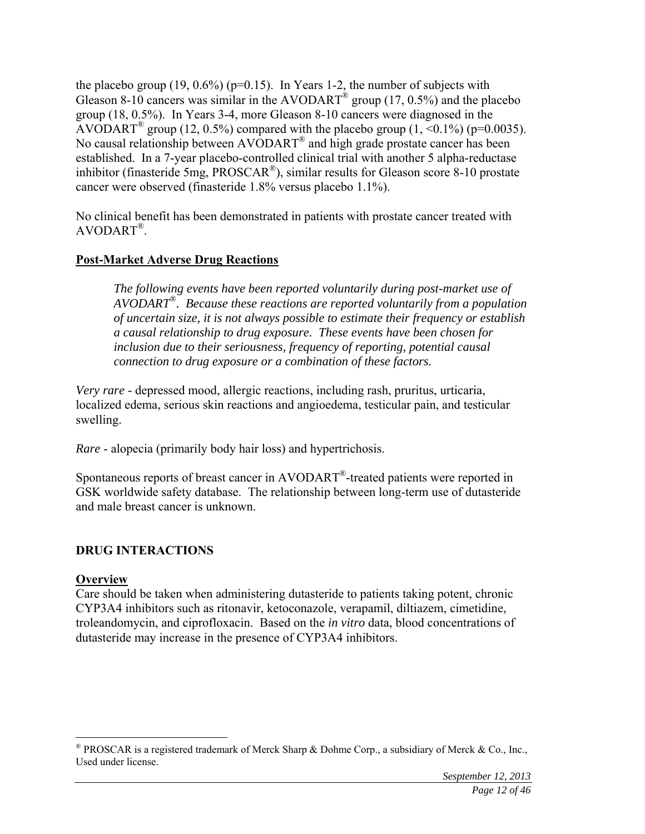the placebo group  $(19, 0.6\%)$  (p=0.15). In Years 1-2, the number of subjects with Gleason 8-10 cancers was similar in the AVODART<sup>®</sup> group (17, 0.5%) and the placebo group (18, 0.5%). In Years 3-4, more Gleason 8-10 cancers were diagnosed in the AVODART<sup>®</sup> group (12, 0.5%) compared with the placebo group (1, <0.1%) (p=0.0035). No causal relationship between AVODART® and high grade prostate cancer has been established. In a 7-year placebo-controlled clinical trial with another 5 alpha-reductase inhibitor (finasteride 5mg, PROSCAR®), similar results for Gleason score 8-10 prostate cancer were observed (finasteride 1.8% versus placebo 1.1%).

No clinical benefit has been demonstrated in patients with prostate cancer treated with AVODART®.

### **Post-Market Adverse Drug Reactions**

*The following events have been reported voluntarily during post-market use of AVODART®. Because these reactions are reported voluntarily from a population of uncertain size, it is not always possible to estimate their frequency or establish a causal relationship to drug exposure. These events have been chosen for inclusion due to their seriousness, frequency of reporting, potential causal connection to drug exposure or a combination of these factors.* 

*Very rare* - depressed mood, allergic reactions, including rash, pruritus, urticaria, localized edema, serious skin reactions and angioedema, testicular pain, and testicular swelling.

*Rare* - alopecia (primarily body hair loss) and hypertrichosis.

Spontaneous reports of breast cancer in AVODART®-treated patients were reported in GSK worldwide safety database. The relationship between long-term use of dutasteride and male breast cancer is unknown.

### **DRUG INTERACTIONS**

#### **Overview**

1

Care should be taken when administering dutasteride to patients taking potent, chronic CYP3A4 inhibitors such as ritonavir, ketoconazole, verapamil, diltiazem, cimetidine, troleandomycin, and ciprofloxacin. Based on the *in vitro* data, blood concentrations of dutasteride may increase in the presence of CYP3A4 inhibitors.

 $\degree$  PROSCAR is a registered trademark of Merck Sharp & Dohme Corp., a subsidiary of Merck & Co., Inc., Used under license.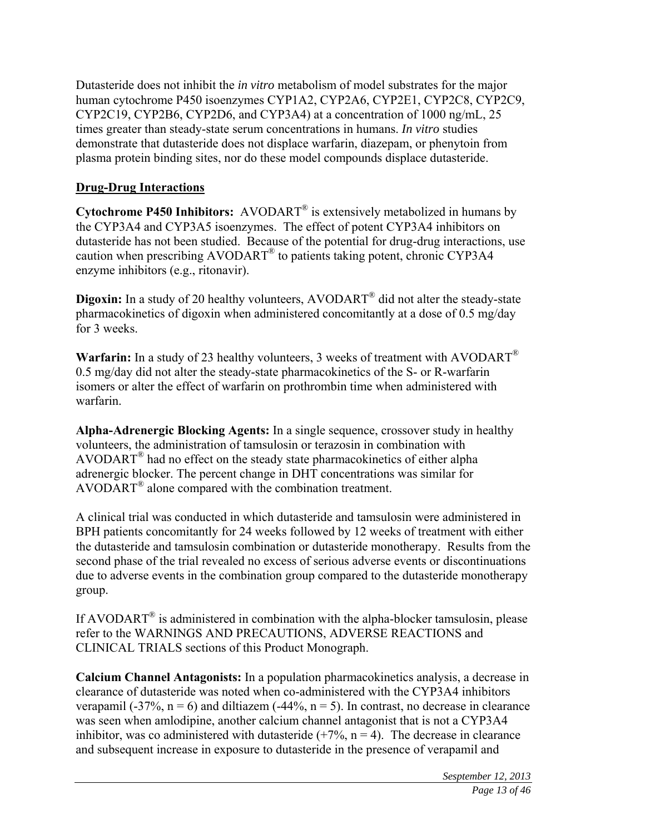Dutasteride does not inhibit the *in vitro* metabolism of model substrates for the major human cytochrome P450 isoenzymes CYP1A2, CYP2A6, CYP2E1, CYP2C8, CYP2C9, CYP2C19, CYP2B6, CYP2D6, and CYP3A4) at a concentration of 1000 ng/mL, 25 times greater than steady-state serum concentrations in humans. *In vitro* studies demonstrate that dutasteride does not displace warfarin, diazepam, or phenytoin from plasma protein binding sites, nor do these model compounds displace dutasteride.

# **Drug-Drug Interactions**

**Cytochrome P450 Inhibitors:** AVODART® is extensively metabolized in humans by the CYP3A4 and CYP3A5 isoenzymes. The effect of potent CYP3A4 inhibitors on dutasteride has not been studied. Because of the potential for drug-drug interactions, use caution when prescribing AVODART® to patients taking potent, chronic CYP3A4 enzyme inhibitors (e.g., ritonavir).

**Digoxin:** In a study of 20 healthy volunteers, AVODART<sup>®</sup> did not alter the steady-state pharmacokinetics of digoxin when administered concomitantly at a dose of 0.5 mg/day for 3 weeks.

**Warfarin:** In a study of 23 healthy volunteers, 3 weeks of treatment with AVODART® 0.5 mg/day did not alter the steady-state pharmacokinetics of the S- or R-warfarin isomers or alter the effect of warfarin on prothrombin time when administered with warfarin.

**Alpha-Adrenergic Blocking Agents:** In a single sequence, crossover study in healthy volunteers, the administration of tamsulosin or terazosin in combination with  $AVODART^{\circledR}$  had no effect on the steady state pharmacokinetics of either alpha adrenergic blocker. The percent change in DHT concentrations was similar for AVODART® alone compared with the combination treatment.

A clinical trial was conducted in which dutasteride and tamsulosin were administered in BPH patients concomitantly for 24 weeks followed by 12 weeks of treatment with either the dutasteride and tamsulosin combination or dutasteride monotherapy. Results from the second phase of the trial revealed no excess of serious adverse events or discontinuations due to adverse events in the combination group compared to the dutasteride monotherapy group.

If AVODART<sup>®</sup> is administered in combination with the alpha-blocker tamsulosin, please refer to the WARNINGS AND PRECAUTIONS, ADVERSE REACTIONS and CLINICAL TRIALS sections of this Product Monograph.

**Calcium Channel Antagonists:** In a population pharmacokinetics analysis, a decrease in clearance of dutasteride was noted when co-administered with the CYP3A4 inhibitors verapamil (-37%,  $n = 6$ ) and diltiazem (-44%,  $n = 5$ ). In contrast, no decrease in clearance was seen when amlodipine, another calcium channel antagonist that is not a CYP3A4 inhibitor, was co administered with dutasteride  $(+7\%, n=4)$ . The decrease in clearance and subsequent increase in exposure to dutasteride in the presence of verapamil and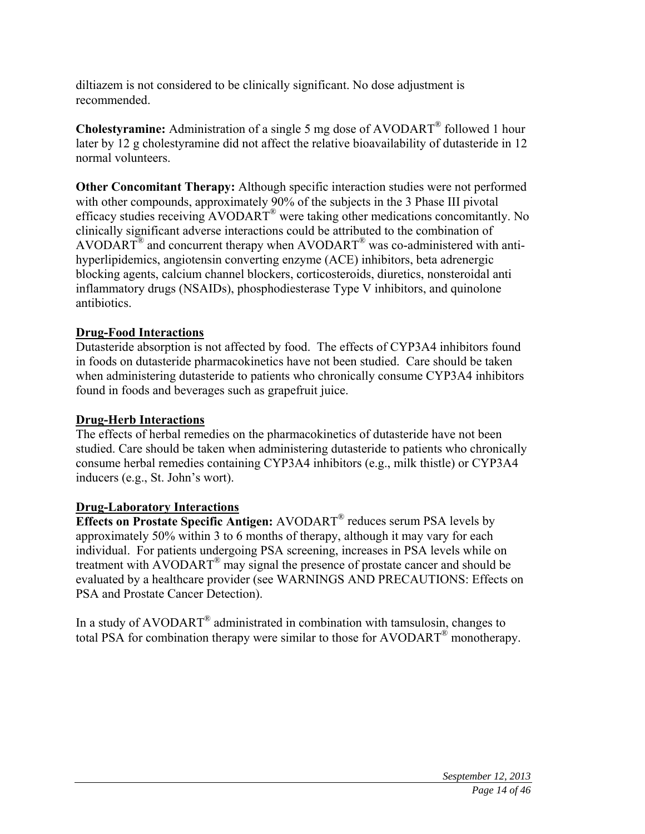diltiazem is not considered to be clinically significant. No dose adjustment is recommended.

**Cholestyramine:** Administration of a single 5 mg dose of AVODART® followed 1 hour later by 12 g cholestyramine did not affect the relative bioavailability of dutasteride in 12 normal volunteers.

**Other Concomitant Therapy:** Although specific interaction studies were not performed with other compounds, approximately 90% of the subjects in the 3 Phase III pivotal efficacy studies receiving AVODART® were taking other medications concomitantly. No clinically significant adverse interactions could be attributed to the combination of AVODART<sup>®</sup> and concurrent therapy when AVODART<sup>®</sup> was co-administered with antihyperlipidemics, angiotensin converting enzyme (ACE) inhibitors, beta adrenergic blocking agents, calcium channel blockers, corticosteroids, diuretics, nonsteroidal anti inflammatory drugs (NSAIDs), phosphodiesterase Type V inhibitors, and quinolone antibiotics.

# **Drug-Food Interactions**

Dutasteride absorption is not affected by food. The effects of CYP3A4 inhibitors found in foods on dutasteride pharmacokinetics have not been studied. Care should be taken when administering dutasteride to patients who chronically consume CYP3A4 inhibitors found in foods and beverages such as grapefruit juice.

### **Drug-Herb Interactions**

The effects of herbal remedies on the pharmacokinetics of dutasteride have not been studied. Care should be taken when administering dutasteride to patients who chronically consume herbal remedies containing CYP3A4 inhibitors (e.g., milk thistle) or CYP3A4 inducers (e.g., St. John's wort).

### **Drug-Laboratory Interactions**

**Effects on Prostate Specific Antigen:** AVODART® reduces serum PSA levels by approximately 50% within 3 to 6 months of therapy, although it may vary for each individual. For patients undergoing PSA screening, increases in PSA levels while on treatment with AVODART® may signal the presence of prostate cancer and should be evaluated by a healthcare provider (see WARNINGS AND PRECAUTIONS: Effects on PSA and Prostate Cancer Detection).

In a study of AVODART® administrated in combination with tamsulosin, changes to total PSA for combination therapy were similar to those for AVODART® monotherapy.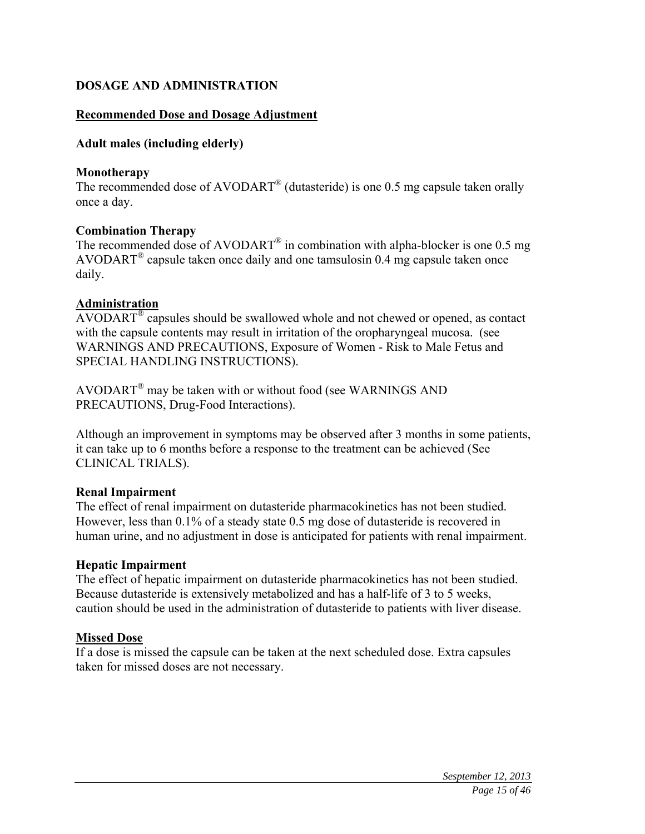### **DOSAGE AND ADMINISTRATION**

#### **Recommended Dose and Dosage Adjustment**

#### **Adult males (including elderly)**

#### **Monotherapy**

The recommended dose of AVODART<sup>®</sup> (dutasteride) is one 0.5 mg capsule taken orally once a day.

#### **Combination Therapy**

The recommended dose of  $AVODART^{\circledR}$  in combination with alpha-blocker is one 0.5 mg AVODART<sup>®</sup> capsule taken once daily and one tamsulosin 0.4 mg capsule taken once daily.

#### **Administration**

AVODART® capsules should be swallowed whole and not chewed or opened, as contact with the capsule contents may result in irritation of the oropharyngeal mucosa. (see WARNINGS AND PRECAUTIONS, Exposure of Women - Risk to Male Fetus and SPECIAL HANDLING INSTRUCTIONS).

AVODART® may be taken with or without food (see WARNINGS AND PRECAUTIONS, Drug-Food Interactions).

Although an improvement in symptoms may be observed after 3 months in some patients, it can take up to 6 months before a response to the treatment can be achieved (See CLINICAL TRIALS).

#### **Renal Impairment**

The effect of renal impairment on dutasteride pharmacokinetics has not been studied. However, less than 0.1% of a steady state 0.5 mg dose of dutasteride is recovered in human urine, and no adjustment in dose is anticipated for patients with renal impairment.

#### **Hepatic Impairment**

The effect of hepatic impairment on dutasteride pharmacokinetics has not been studied. Because dutasteride is extensively metabolized and has a half-life of 3 to 5 weeks, caution should be used in the administration of dutasteride to patients with liver disease.

### **Missed Dose**

If a dose is missed the capsule can be taken at the next scheduled dose. Extra capsules taken for missed doses are not necessary.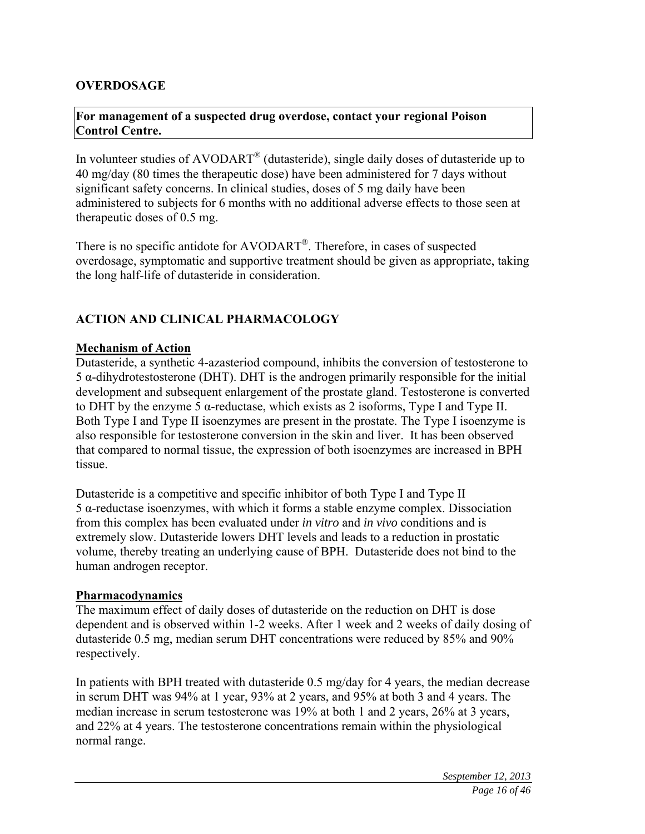### **OVERDOSAGE**

### **For management of a suspected drug overdose, contact your regional Poison Control Centre.**

In volunteer studies of AVODART<sup>®</sup> (dutasteride), single daily doses of dutasteride up to 40 mg/day (80 times the therapeutic dose) have been administered for 7 days without significant safety concerns. In clinical studies, doses of 5 mg daily have been administered to subjects for 6 months with no additional adverse effects to those seen at therapeutic doses of 0.5 mg.

There is no specific antidote for AVODART®. Therefore, in cases of suspected overdosage, symptomatic and supportive treatment should be given as appropriate, taking the long half-life of dutasteride in consideration.

### **ACTION AND CLINICAL PHARMACOLOGY**

#### **Mechanism of Action**

Dutasteride, a synthetic 4-azasteriod compound, inhibits the conversion of testosterone to 5 α-dihydrotestosterone (DHT). DHT is the androgen primarily responsible for the initial development and subsequent enlargement of the prostate gland. Testosterone is converted to DHT by the enzyme 5  $\alpha$ -reductase, which exists as 2 isoforms, Type I and Type II. Both Type I and Type II isoenzymes are present in the prostate. The Type I isoenzyme is also responsible for testosterone conversion in the skin and liver. It has been observed that compared to normal tissue, the expression of both isoenzymes are increased in BPH tissue.

Dutasteride is a competitive and specific inhibitor of both Type I and Type II 5 α-reductase isoenzymes, with which it forms a stable enzyme complex. Dissociation from this complex has been evaluated under *in vitro* and *in vivo* conditions and is extremely slow. Dutasteride lowers DHT levels and leads to a reduction in prostatic volume, thereby treating an underlying cause of BPH. Dutasteride does not bind to the human androgen receptor.

#### **Pharmacodynamics**

The maximum effect of daily doses of dutasteride on the reduction on DHT is dose dependent and is observed within 1-2 weeks. After 1 week and 2 weeks of daily dosing of dutasteride 0.5 mg, median serum DHT concentrations were reduced by 85% and 90% respectively.

In patients with BPH treated with dutasteride 0.5 mg/day for 4 years, the median decrease in serum DHT was 94% at 1 year, 93% at 2 years, and 95% at both 3 and 4 years. The median increase in serum testosterone was 19% at both 1 and 2 years, 26% at 3 years, and 22% at 4 years. The testosterone concentrations remain within the physiological normal range.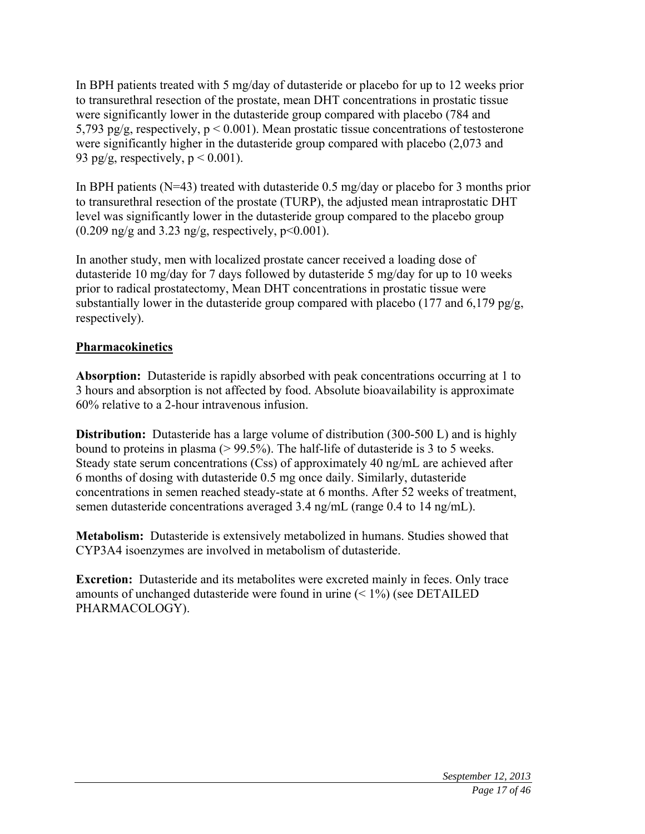In BPH patients treated with 5 mg/day of dutasteride or placebo for up to 12 weeks prior to transurethral resection of the prostate, mean DHT concentrations in prostatic tissue were significantly lower in the dutasteride group compared with placebo (784 and 5,793 pg/g, respectively,  $p < 0.001$ ). Mean prostatic tissue concentrations of testosterone were significantly higher in the dutasteride group compared with placebo (2,073 and 93 pg/g, respectively,  $p < 0.001$ ).

In BPH patients ( $N=43$ ) treated with dutasteride 0.5 mg/day or placebo for 3 months prior to transurethral resection of the prostate (TURP), the adjusted mean intraprostatic DHT level was significantly lower in the dutasteride group compared to the placebo group  $(0.209 \text{ ng/g} \text{ and } 3.23 \text{ ng/g} \text{, respectively, } p \leq 0.001).$ 

In another study, men with localized prostate cancer received a loading dose of dutasteride 10 mg/day for 7 days followed by dutasteride 5 mg/day for up to 10 weeks prior to radical prostatectomy, Mean DHT concentrations in prostatic tissue were substantially lower in the dutasteride group compared with placebo (177 and  $6.179$  pg/g, respectively).

# **Pharmacokinetics**

**Absorption:** Dutasteride is rapidly absorbed with peak concentrations occurring at 1 to 3 hours and absorption is not affected by food. Absolute bioavailability is approximate 60% relative to a 2-hour intravenous infusion.

**Distribution:** Dutasteride has a large volume of distribution (300-500 L) and is highly bound to proteins in plasma (> 99.5%). The half-life of dutasteride is 3 to 5 weeks. Steady state serum concentrations (Css) of approximately 40 ng/mL are achieved after 6 months of dosing with dutasteride 0.5 mg once daily. Similarly, dutasteride concentrations in semen reached steady-state at 6 months. After 52 weeks of treatment, semen dutasteride concentrations averaged 3.4 ng/mL (range 0.4 to 14 ng/mL).

**Metabolism:** Dutasteride is extensively metabolized in humans. Studies showed that CYP3A4 isoenzymes are involved in metabolism of dutasteride.

**Excretion:** Dutasteride and its metabolites were excreted mainly in feces. Only trace amounts of unchanged dutasteride were found in urine  $(< 1\%)$  (see DETAILED) PHARMACOLOGY).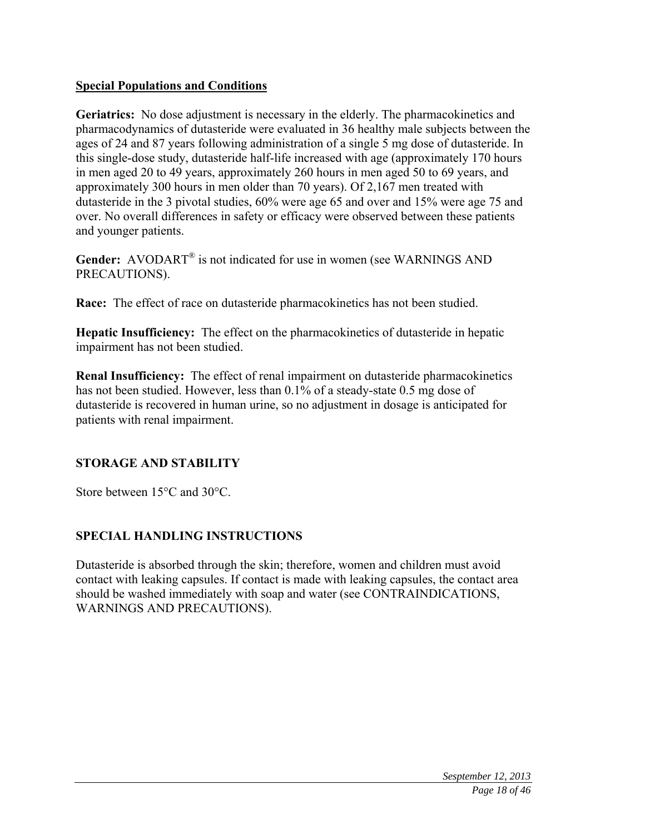### **Special Populations and Conditions**

**Geriatrics:** No dose adjustment is necessary in the elderly. The pharmacokinetics and pharmacodynamics of dutasteride were evaluated in 36 healthy male subjects between the ages of 24 and 87 years following administration of a single 5 mg dose of dutasteride. In this single-dose study, dutasteride half-life increased with age (approximately 170 hours in men aged 20 to 49 years, approximately 260 hours in men aged 50 to 69 years, and approximately 300 hours in men older than 70 years). Of 2,167 men treated with dutasteride in the 3 pivotal studies, 60% were age 65 and over and 15% were age 75 and over. No overall differences in safety or efficacy were observed between these patients and younger patients.

Gender: AVODART<sup>®</sup> is not indicated for use in women (see WARNINGS AND PRECAUTIONS).

**Race:** The effect of race on dutasteride pharmacokinetics has not been studied.

**Hepatic Insufficiency:** The effect on the pharmacokinetics of dutasteride in hepatic impairment has not been studied.

**Renal Insufficiency:** The effect of renal impairment on dutasteride pharmacokinetics has not been studied. However, less than 0.1% of a steady-state 0.5 mg dose of dutasteride is recovered in human urine, so no adjustment in dosage is anticipated for patients with renal impairment.

# **STORAGE AND STABILITY**

Store between 15°C and 30°C.

# **SPECIAL HANDLING INSTRUCTIONS**

Dutasteride is absorbed through the skin; therefore, women and children must avoid contact with leaking capsules. If contact is made with leaking capsules, the contact area should be washed immediately with soap and water (see CONTRAINDICATIONS, WARNINGS AND PRECAUTIONS).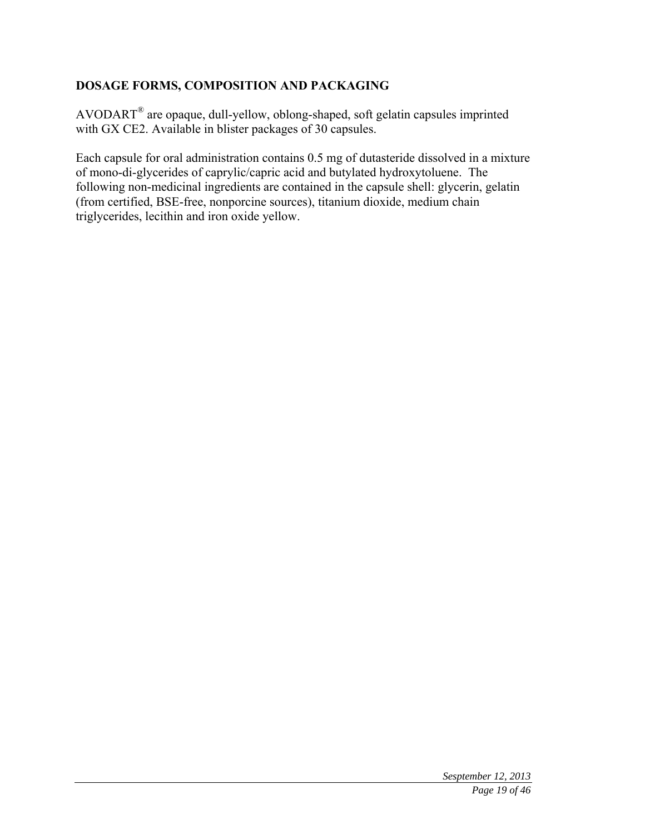# **DOSAGE FORMS, COMPOSITION AND PACKAGING**

AVODART® are opaque, dull-yellow, oblong-shaped, soft gelatin capsules imprinted with GX CE2. Available in blister packages of 30 capsules.

Each capsule for oral administration contains 0.5 mg of dutasteride dissolved in a mixture of mono-di-glycerides of caprylic/capric acid and butylated hydroxytoluene. The following non-medicinal ingredients are contained in the capsule shell: glycerin, gelatin (from certified, BSE-free, nonporcine sources), titanium dioxide, medium chain triglycerides, lecithin and iron oxide yellow.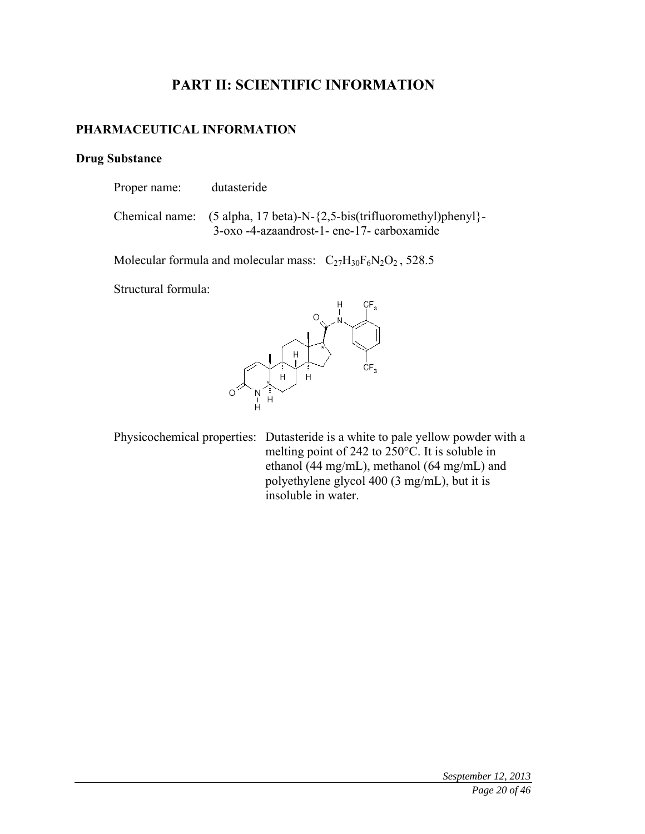# **PART II: SCIENTIFIC INFORMATION**

### **PHARMACEUTICAL INFORMATION**

### **Drug Substance**

| Proper name: | dutasteride                                                                                                                                                    |
|--------------|----------------------------------------------------------------------------------------------------------------------------------------------------------------|
|              | Chemical name: $(5 \text{ alpha}, 17 \text{ beta})$ -N- $\{2, 5\text{-} \text{bis}( \text{trifluorometry}) \}$ -<br>3-oxo -4-azaandrost-1- ene-17- carboxamide |

Molecular formula and molecular mass:  $C_{27}H_{30}F_6N_2O_2$ , 528.5

Structural formula:



Physicochemical properties: Dutasteride is a white to pale yellow powder with a melting point of 242 to 250°C. It is soluble in ethanol (44 mg/mL), methanol (64 mg/mL) and polyethylene glycol 400 (3 mg/mL), but it is insoluble in water.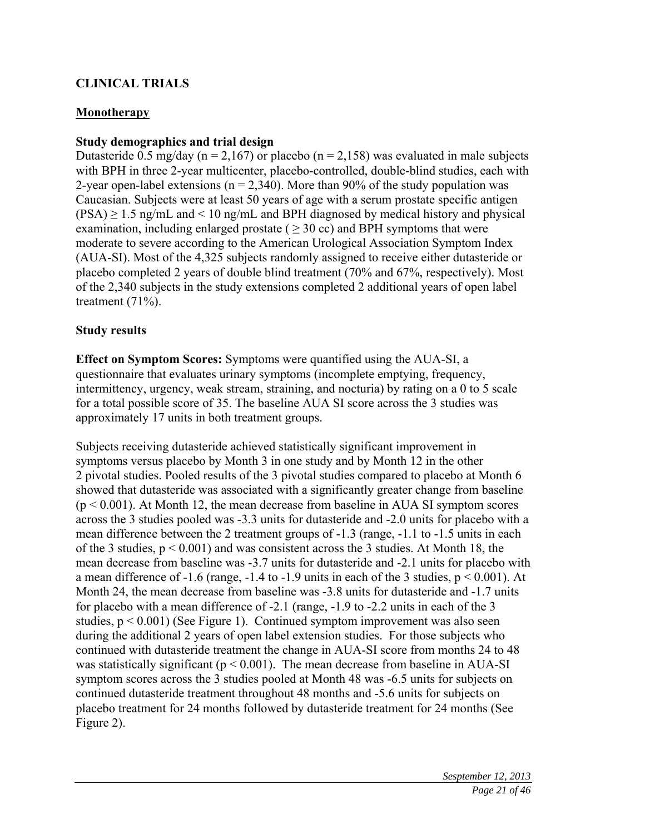# **CLINICAL TRIALS**

### **Monotherapy**

### **Study demographics and trial design**

Dutasteride 0.5 mg/day ( $n = 2,167$ ) or placebo ( $n = 2,158$ ) was evaluated in male subjects with BPH in three 2-year multicenter, placebo-controlled, double-blind studies, each with 2-year open-label extensions ( $n = 2,340$ ). More than 90% of the study population was Caucasian. Subjects were at least 50 years of age with a serum prostate specific antigen  $(PSA) \ge 1.5$  ng/mL and  $\le 10$  ng/mL and BPH diagnosed by medical history and physical examination, including enlarged prostate ( $\geq$  30 cc) and BPH symptoms that were moderate to severe according to the American Urological Association Symptom Index (AUA-SI). Most of the 4,325 subjects randomly assigned to receive either dutasteride or placebo completed 2 years of double blind treatment (70% and 67%, respectively). Most of the 2,340 subjects in the study extensions completed 2 additional years of open label treatment (71%).

### **Study results**

**Effect on Symptom Scores:** Symptoms were quantified using the AUA-SI, a questionnaire that evaluates urinary symptoms (incomplete emptying, frequency, intermittency, urgency, weak stream, straining, and nocturia) by rating on a 0 to 5 scale for a total possible score of 35. The baseline AUA SI score across the 3 studies was approximately 17 units in both treatment groups.

Subjects receiving dutasteride achieved statistically significant improvement in symptoms versus placebo by Month 3 in one study and by Month 12 in the other 2 pivotal studies. Pooled results of the 3 pivotal studies compared to placebo at Month 6 showed that dutasteride was associated with a significantly greater change from baseline  $(p < 0.001)$ . At Month 12, the mean decrease from baseline in AUA SI symptom scores across the 3 studies pooled was -3.3 units for dutasteride and -2.0 units for placebo with a mean difference between the 2 treatment groups of -1.3 (range, -1.1 to -1.5 units in each of the 3 studies,  $p < 0.001$ ) and was consistent across the 3 studies. At Month 18, the mean decrease from baseline was -3.7 units for dutasteride and -2.1 units for placebo with a mean difference of -1.6 (range, -1.4 to -1.9 units in each of the 3 studies, p < 0.001). At Month 24, the mean decrease from baseline was -3.8 units for dutasteride and -1.7 units for placebo with a mean difference of -2.1 (range, -1.9 to -2.2 units in each of the 3 studies,  $p < 0.001$ ) (See Figure 1). Continued symptom improvement was also seen during the additional 2 years of open label extension studies. For those subjects who continued with dutasteride treatment the change in AUA-SI score from months 24 to 48 was statistically significant ( $p < 0.001$ ). The mean decrease from baseline in AUA-SI symptom scores across the 3 studies pooled at Month 48 was -6.5 units for subjects on continued dutasteride treatment throughout 48 months and -5.6 units for subjects on placebo treatment for 24 months followed by dutasteride treatment for 24 months (See Figure 2).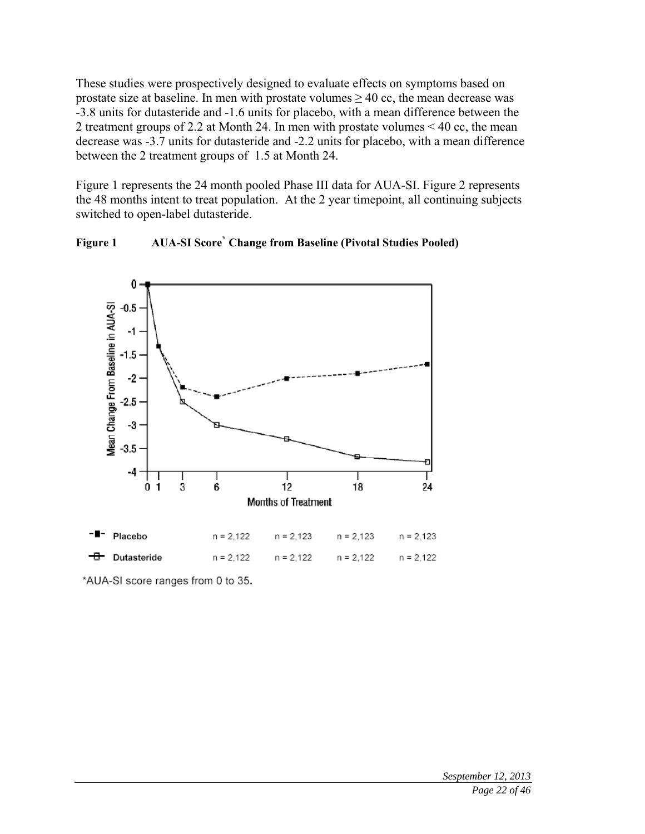These studies were prospectively designed to evaluate effects on symptoms based on prostate size at baseline. In men with prostate volumes  $\geq 40$  cc, the mean decrease was -3.8 units for dutasteride and -1.6 units for placebo, with a mean difference between the 2 treatment groups of 2.2 at Month 24. In men with prostate volumes < 40 cc, the mean decrease was -3.7 units for dutasteride and -2.2 units for placebo, with a mean difference between the 2 treatment groups of 1.5 at Month 24.

Figure 1 represents the 24 month pooled Phase III data for AUA-SI. Figure 2 represents the 48 months intent to treat population. At the 2 year timepoint, all continuing subjects switched to open-label dutasteride.





\*AUA-SI score ranges from 0 to 35.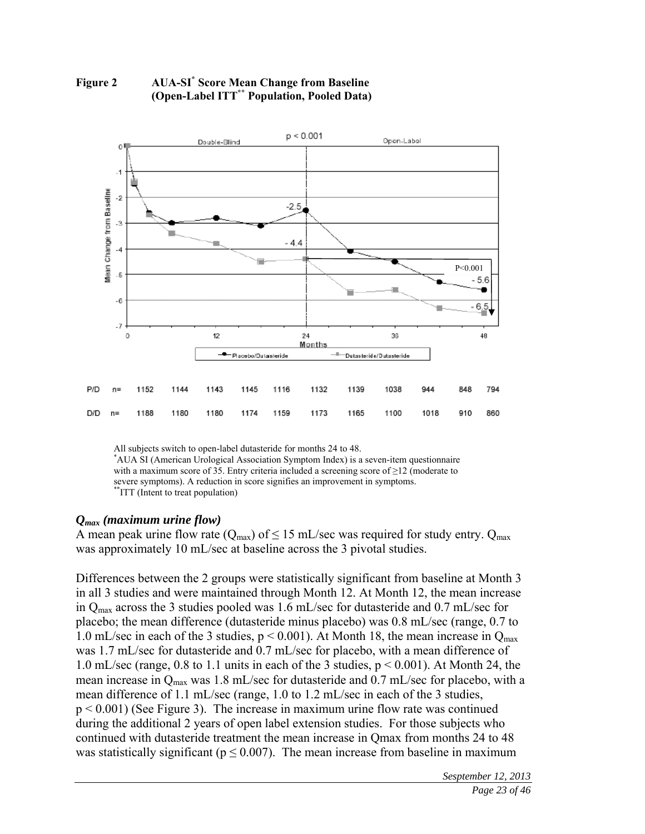

#### **Figure 2 AUA-SI\* Score Mean Change from Baseline (Open-Label ITT\*\* Population, Pooled Data)**

All subjects switch to open-label dutasteride for months 24 to 48. AUA SI (American Urological Association Symptom Index) is a seven-item questionnaire with a maximum score of 35. Entry criteria included a screening score of  $\geq$ 12 (moderate to severe symptoms). A reduction in score signifies an improvement in symptoms. \*\*ITT (Intent to treat population)

#### *Qmax (maximum urine flow)*

A mean peak urine flow rate ( $Q_{\text{max}}$ ) of  $\leq 15$  mL/sec was required for study entry.  $Q_{\text{max}}$ was approximately 10 mL/sec at baseline across the 3 pivotal studies.

Differences between the 2 groups were statistically significant from baseline at Month 3 in all 3 studies and were maintained through Month 12. At Month 12, the mean increase in Qmax across the 3 studies pooled was 1.6 mL/sec for dutasteride and 0.7 mL/sec for placebo; the mean difference (dutasteride minus placebo) was 0.8 mL/sec (range, 0.7 to 1.0 mL/sec in each of the 3 studies,  $p < 0.001$ ). At Month 18, the mean increase in  $Q_{\text{max}}$ was 1.7 mL/sec for dutasteride and 0.7 mL/sec for placebo, with a mean difference of 1.0 mL/sec (range, 0.8 to 1.1 units in each of the 3 studies, p < 0.001). At Month 24, the mean increase in Q<sub>max</sub> was 1.8 mL/sec for dutasteride and 0.7 mL/sec for placebo, with a mean difference of 1.1 mL/sec (range, 1.0 to 1.2 mL/sec in each of the 3 studies, p < 0.001) (See Figure 3). The increase in maximum urine flow rate was continued during the additional 2 years of open label extension studies. For those subjects who continued with dutasteride treatment the mean increase in Qmax from months 24 to 48 was statistically significant ( $p \le 0.007$ ). The mean increase from baseline in maximum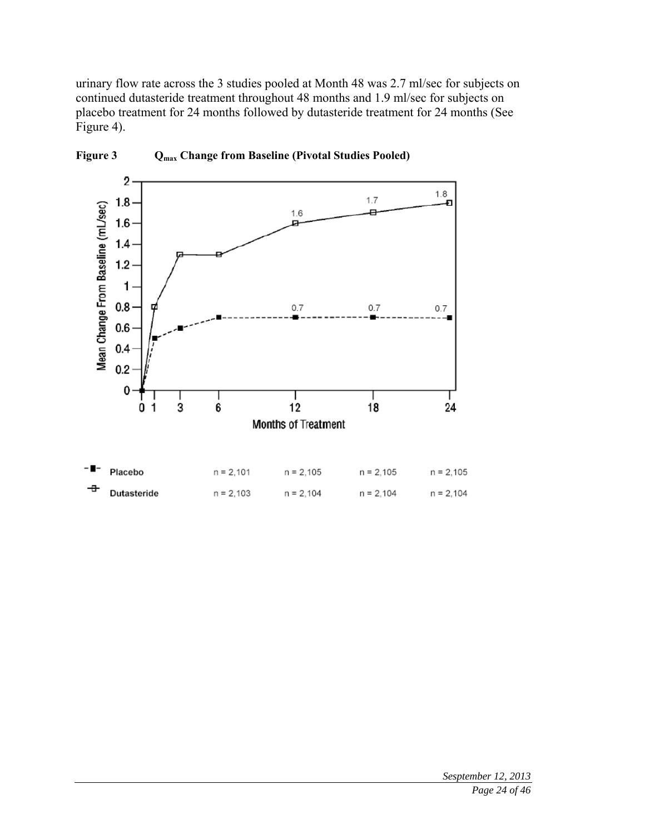urinary flow rate across the 3 studies pooled at Month 48 was 2.7 ml/sec for subjects on continued dutasteride treatment throughout 48 months and 1.9 ml/sec for subjects on placebo treatment for 24 months followed by dutasteride treatment for 24 months (See Figure 4).



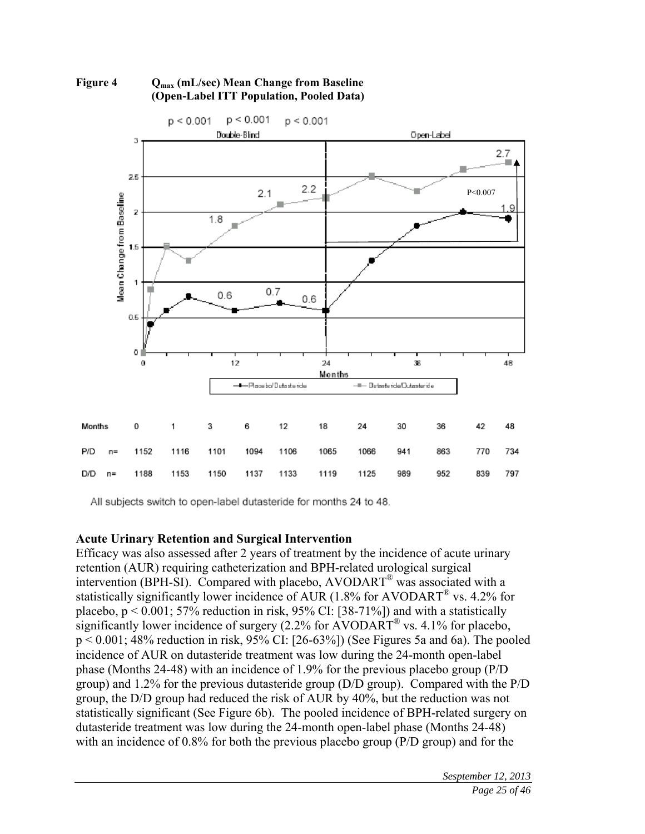



All subjects switch to open-label dutasteride for months 24 to 48.

### **Acute Urinary Retention and Surgical Intervention**

Efficacy was also assessed after 2 years of treatment by the incidence of acute urinary retention (AUR) requiring catheterization and BPH-related urological surgical intervention (BPH-SI). Compared with placebo, AVODART® was associated with a statistically significantly lower incidence of AUR (1.8% for AVODART<sup>®</sup> vs. 4.2% for placebo,  $p < 0.001$ ; 57% reduction in risk, 95% CI: [38-71%]) and with a statistically significantly lower incidence of surgery  $(2.2\%$  for AVODART<sup>®</sup> vs. 4.1% for placebo, p < 0.001; 48% reduction in risk, 95% CI: [26-63%]) (See Figures 5a and 6a). The pooled incidence of AUR on dutasteride treatment was low during the 24-month open-label phase (Months 24-48) with an incidence of 1.9% for the previous placebo group (P/D group) and 1.2% for the previous dutasteride group (D/D group). Compared with the P/D group, the D/D group had reduced the risk of AUR by 40%, but the reduction was not statistically significant (See Figure 6b). The pooled incidence of BPH-related surgery on dutasteride treatment was low during the 24-month open-label phase (Months 24-48) with an incidence of 0.8% for both the previous placebo group (P/D group) and for the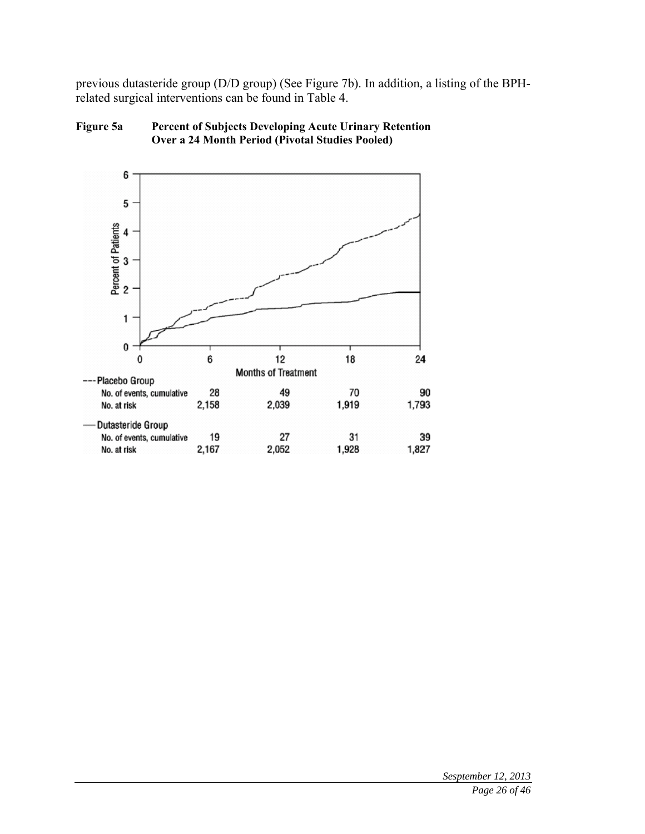previous dutasteride group (D/D group) (See Figure 7b). In addition, a listing of the BPHrelated surgical interventions can be found in Table 4.



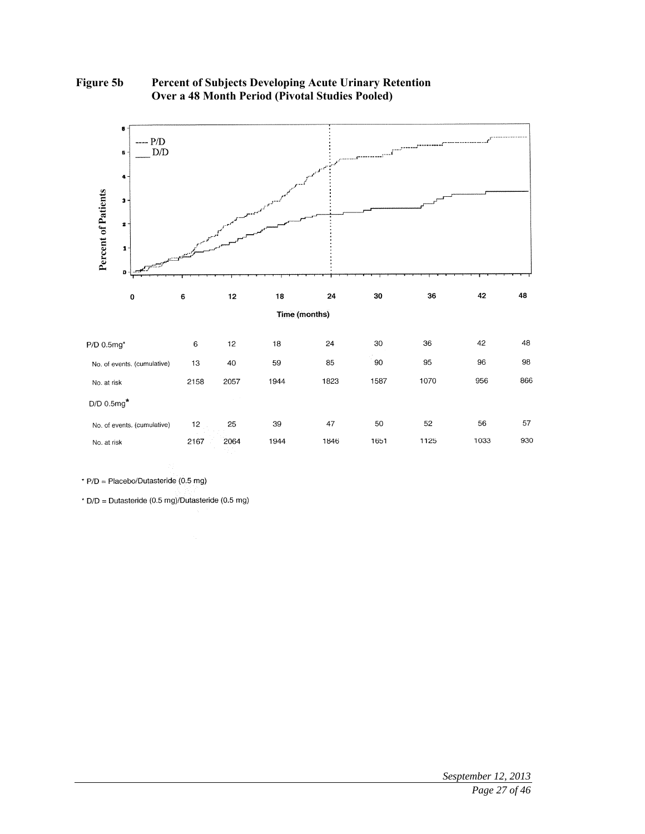

**Figure 5b Percent of Subjects Developing Acute Urinary Retention Over a 48 Month Period (Pivotal Studies Pooled)** 

\* P/D = Placebo/Dutasteride (0.5 mg)

\*  $D/D = D$ utasteride (0.5 mg)/Dutasteride (0.5 mg)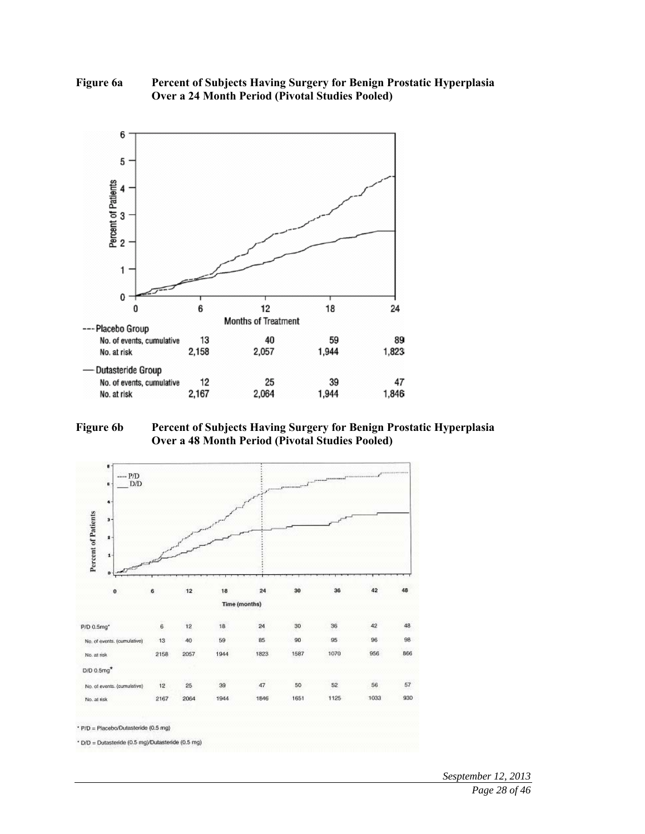#### **Figure 6a Percent of Subjects Having Surgery for Benign Prostatic Hyperplasia Over a 24 Month Period (Pivotal Studies Pooled)**



#### **Figure 6b Percent of Subjects Having Surgery for Benign Prostatic Hyperplasia Over a 48 Month Period (Pivotal Studies Pooled)**



*Sesptember 12, 2013 Page 28 of 46*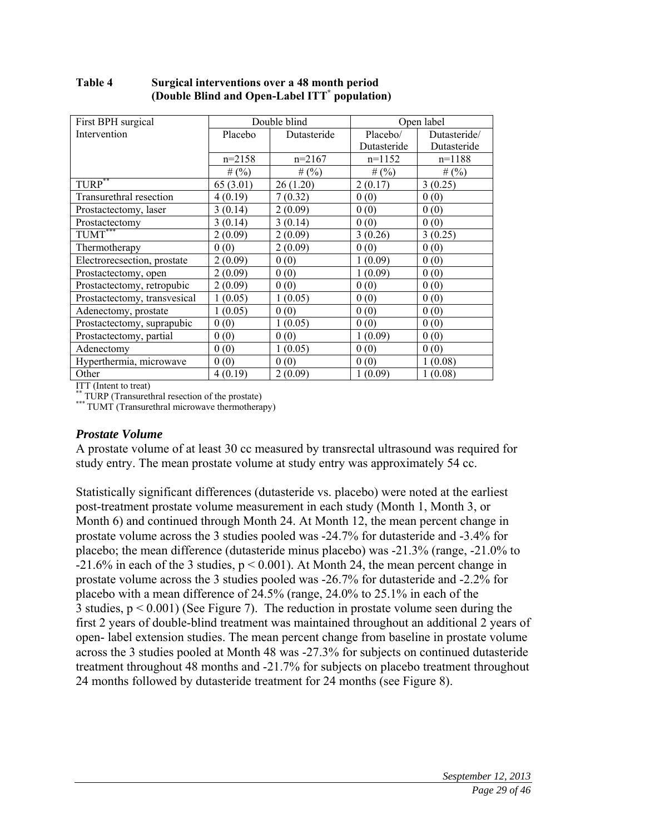| First BPH surgical             | Double blind |             |             | Open label   |
|--------------------------------|--------------|-------------|-------------|--------------|
| Intervention                   | Placebo      | Dutasteride | Placebo/    | Dutasteride/ |
|                                |              |             | Dutasteride | Dutasteride  |
|                                | $n=2158$     | $n=2167$    | $n=1152$    | $n=1188$     |
|                                | # $(%)$      | # $(%)$     | # $(%)$     | # $(%)$      |
| $T \overline{URP}^{**}$        | 65 (3.01)    | 26(1.20)    | 2(0.17)     | 3(0.25)      |
| Transurethral resection        | 4(0.19)      | 7(0.32)     | 0(0)        | 0(0)         |
| Prostactectomy, laser          | 3(0.14)      | 2(0.09)     | 0(0)        | 0(0)         |
| Prostactectomy                 | 3(0.14)      | 3(0.14)     | 0(0)        | 0(0)         |
| $\overline{\text{TUMT}^{***}}$ | 2(0.09)      | 2(0.09)     | 3(0.26)     | 3(0.25)      |
| Thermotherapy                  | 0(0)         | 2(0.09)     | 0(0)        | 0(0)         |
| Electrorecsection, prostate    | 2(0.09)      | 0(0)        | 1(0.09)     | 0(0)         |
| Prostactectomy, open           | 2(0.09)      | 0(0)        | 1(0.09)     | 0(0)         |
| Prostactectomy, retropubic     | 2(0.09)      | 0(0)        | 0(0)        | 0(0)         |
| Prostactectomy, transvesical   | 1(0.05)      | 1(0.05)     | 0(0)        | 0(0)         |
| Adenectomy, prostate           | 1(0.05)      | 0(0)        | 0(0)        | 0(0)         |
| Prostactectomy, suprapubic     | 0(0)         | 1(0.05)     | 0(0)        | 0(0)         |
| Prostactectomy, partial        | 0(0)         | 0(0)        | 1(0.09)     | 0(0)         |
| Adenectomy                     | 0(0)         | 1(0.05)     | 0(0)        | 0(0)         |
| Hyperthermia, microwave        | 0(0)         | 0(0)        | 0(0)        | 1(0.08)      |
| Other                          | 4(0.19)      | 2(0.09)     | 1(0.09)     | 1(0.08)      |

#### **Table 4 Surgical interventions over a 48 month period (Double Blind and Open-Label ITT\* population)**

ITT (Intent to treat)<br>\*\* TURP (Transurethral resection of the prostate)

\*\*\* TUMT (Transurethral microwave thermotherapy)

### *Prostate Volume*

A prostate volume of at least 30 cc measured by transrectal ultrasound was required for study entry. The mean prostate volume at study entry was approximately 54 cc.

Statistically significant differences (dutasteride vs. placebo) were noted at the earliest post-treatment prostate volume measurement in each study (Month 1, Month 3, or Month 6) and continued through Month 24. At Month 12, the mean percent change in prostate volume across the 3 studies pooled was -24.7% for dutasteride and -3.4% for placebo; the mean difference (dutasteride minus placebo) was -21.3% (range, -21.0% to  $-21.6\%$  in each of the 3 studies,  $p < 0.001$ ). At Month 24, the mean percent change in prostate volume across the 3 studies pooled was -26.7% for dutasteride and -2.2% for placebo with a mean difference of 24.5% (range, 24.0% to 25.1% in each of the 3 studies,  $p < 0.001$ ) (See Figure 7). The reduction in prostate volume seen during the first 2 years of double-blind treatment was maintained throughout an additional 2 years of open- label extension studies. The mean percent change from baseline in prostate volume across the 3 studies pooled at Month 48 was -27.3% for subjects on continued dutasteride treatment throughout 48 months and -21.7% for subjects on placebo treatment throughout 24 months followed by dutasteride treatment for 24 months (see Figure 8).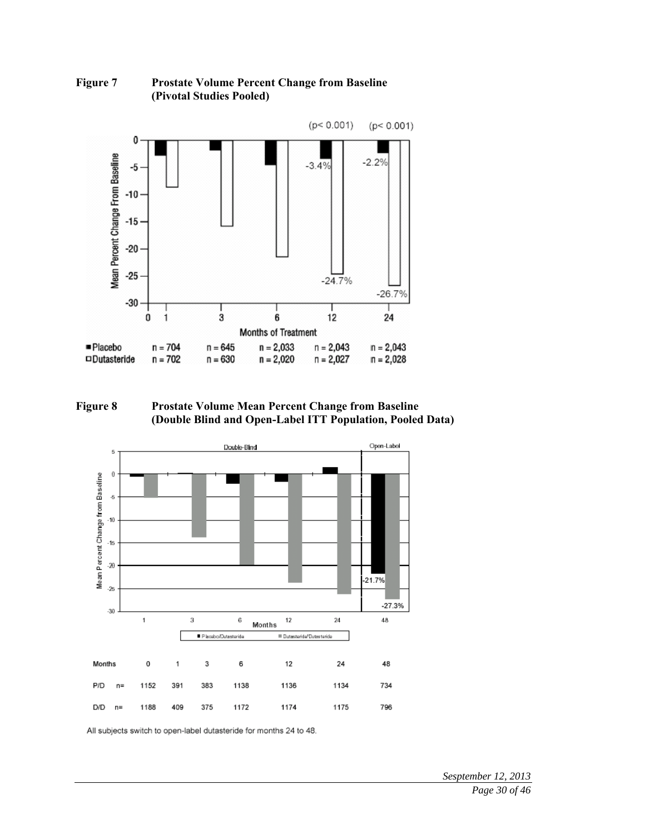

#### **Figure 7 Prostate Volume Percent Change from Baseline (Pivotal Studies Pooled)**

**Figure 8 Prostate Volume Mean Percent Change from Baseline (Double Blind and Open-Label ITT Population, Pooled Data)** 



All subjects switch to open-label dutasteride for months 24 to 48.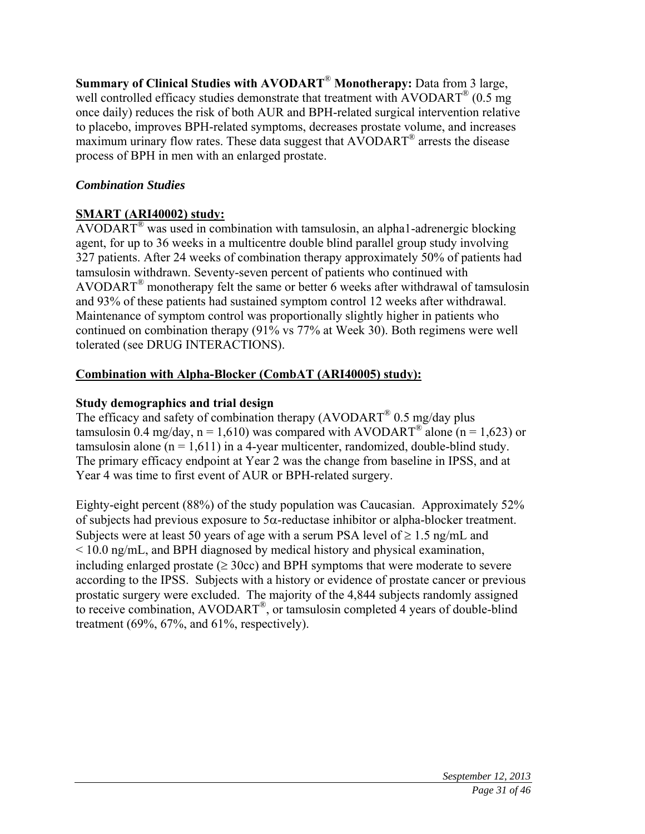**Summary of Clinical Studies with AVODART**® **Monotherapy:** Data from 3 large, well controlled efficacy studies demonstrate that treatment with AVODART<sup>®</sup> (0.5 mg once daily) reduces the risk of both AUR and BPH-related surgical intervention relative to placebo, improves BPH-related symptoms, decreases prostate volume, and increases maximum urinary flow rates. These data suggest that AVODART® arrests the disease process of BPH in men with an enlarged prostate.

# *Combination Studies*

# **SMART (ARI40002) study:**

AVODART<sup>®</sup> was used in combination with tamsulosin, an alpha1-adrenergic blocking agent, for up to 36 weeks in a multicentre double blind parallel group study involving 327 patients. After 24 weeks of combination therapy approximately 50% of patients had tamsulosin withdrawn. Seventy-seven percent of patients who continued with AVODART<sup>®</sup> monotherapy felt the same or better 6 weeks after withdrawal of tamsulosin and 93% of these patients had sustained symptom control 12 weeks after withdrawal. Maintenance of symptom control was proportionally slightly higher in patients who continued on combination therapy (91% vs 77% at Week 30). Both regimens were well tolerated (see DRUG INTERACTIONS).

# **Combination with Alpha-Blocker (CombAT (ARI40005) study):**

# **Study demographics and trial design**

The efficacy and safety of combination therapy  $(AVODART^{\circledR} 0.5 \text{ mg/day}$  plus tamsulosin 0.4 mg/day,  $n = 1,610$ ) was compared with AVODART<sup>®</sup> alone ( $n = 1,623$ ) or tamsulosin alone  $(n = 1,611)$  in a 4-year multicenter, randomized, double-blind study. The primary efficacy endpoint at Year 2 was the change from baseline in IPSS, and at Year 4 was time to first event of AUR or BPH-related surgery.

Eighty-eight percent (88%) of the study population was Caucasian. Approximately 52% of subjects had previous exposure to  $5\alpha$ -reductase inhibitor or alpha-blocker treatment. Subjects were at least 50 years of age with a serum PSA level of  $\geq 1.5$  ng/mL and < 10.0 ng/mL, and BPH diagnosed by medical history and physical examination, including enlarged prostate ( $\geq$  30cc) and BPH symptoms that were moderate to severe according to the IPSS. Subjects with a history or evidence of prostate cancer or previous prostatic surgery were excluded. The majority of the 4,844 subjects randomly assigned to receive combination, AVODART®, or tamsulosin completed 4 years of double-blind treatment (69%, 67%, and 61%, respectively).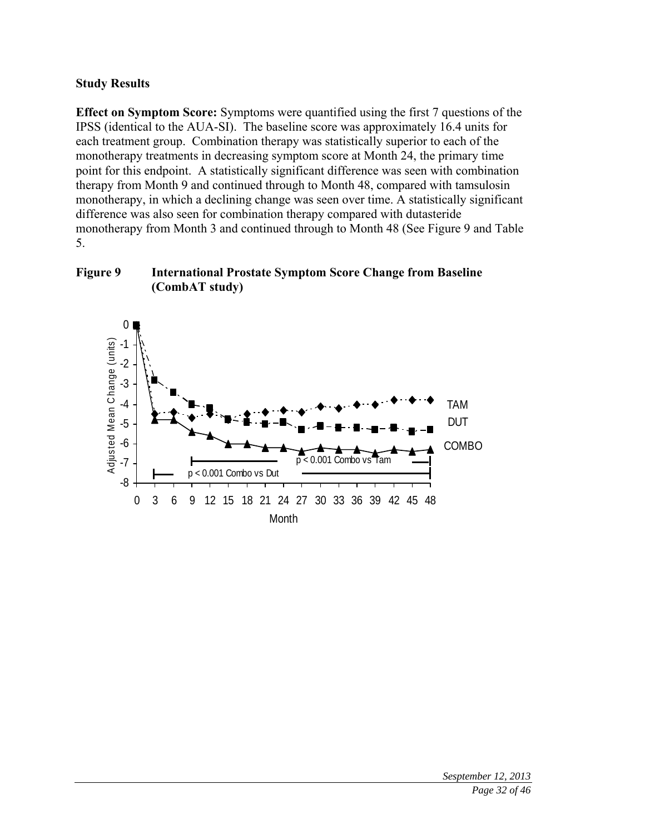### **Study Results**

**Effect on Symptom Score:** Symptoms were quantified using the first 7 questions of the IPSS (identical to the AUA-SI). The baseline score was approximately 16.4 units for each treatment group. Combination therapy was statistically superior to each of the monotherapy treatments in decreasing symptom score at Month 24, the primary time point for this endpoint. A statistically significant difference was seen with combination therapy from Month 9 and continued through to Month 48, compared with tamsulosin monotherapy, in which a declining change was seen over time. A statistically significant difference was also seen for combination therapy compared with dutasteride monotherapy from Month 3 and continued through to Month 48 (See Figure 9 and Table 5.



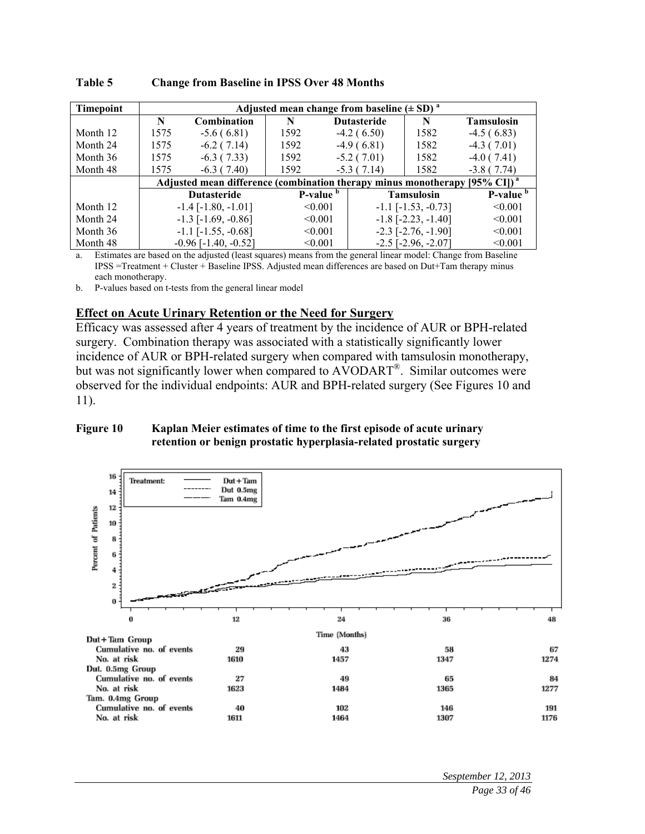| <b>Timepoint</b> |      | Adjusted mean change from baseline $(\pm SD)^a$                                        |      |                      |                    |                              |                      |  |  |
|------------------|------|----------------------------------------------------------------------------------------|------|----------------------|--------------------|------------------------------|----------------------|--|--|
|                  | N    | Combination                                                                            | N    |                      | <b>Dutasteride</b> | N                            | <b>Tamsulosin</b>    |  |  |
| Month 12         | 1575 | $-5.6(6.81)$                                                                           | 1592 |                      | $-4.2(6.50)$       | 1582                         | $-4.5(6.83)$         |  |  |
| Month 24         | 1575 | $-6.2(7.14)$                                                                           | 1592 |                      | $-4.9(6.81)$       | 1582                         | $-4.3(7.01)$         |  |  |
| Month 36         | 1575 | $-6.3(7.33)$                                                                           | 1592 |                      | $-5.2(7.01)$       | 1582                         | $-4.0(7.41)$         |  |  |
| Month 48         | 1575 | $-6.3(7.40)$                                                                           | 1592 |                      | $-5.3(7.14)$       | 1582                         | $-3.8(7.74)$         |  |  |
|                  |      | Adjusted mean difference (combination therapy minus monotherapy [95% CI]) <sup>a</sup> |      |                      |                    |                              |                      |  |  |
|                  |      | <b>Dutasteride</b>                                                                     |      | P-value <sup>b</sup> |                    | <b>Tamsulosin</b>            | P-value <sup>b</sup> |  |  |
| Month 12         |      | $-1.4$ $[-1.80, -1.01]$                                                                |      | < 0.001              |                    | $-1.1$ $[-1.53, -0.73]$      | < 0.001              |  |  |
| Month 24         |      | $-1.3$ [ $-1.69, -0.86$ ]                                                              |      | < 0.001              |                    | $-1.8$ [ $-2.23$ , $-1.40$ ] | < 0.001              |  |  |
| Month 36         |      | $-1.1$ $[-1.55, -0.68]$                                                                |      | < 0.001              |                    | $-2.3$ [ $-2.76$ , $-1.90$ ] | < 0.001              |  |  |
| Month 48         |      | $-0.96$ [ $-1.40$ , $-0.52$ ]                                                          |      | < 0.001              |                    | $-2.5$ [ $-2.96$ , $-2.07$ ] | < 0.001              |  |  |

**Table 5 Change from Baseline in IPSS Over 48 Months** 

a. Estimates are based on the adjusted (least squares) means from the general linear model: Change from Baseline IPSS =Treatment + Cluster + Baseline IPSS. Adjusted mean differences are based on Dut+Tam therapy minus each monotherapy.

b. P-values based on t-tests from the general linear model

#### **Effect on Acute Urinary Retention or the Need for Surgery**

Efficacy was assessed after 4 years of treatment by the incidence of AUR or BPH-related surgery. Combination therapy was associated with a statistically significantly lower incidence of AUR or BPH-related surgery when compared with tamsulosin monotherapy, but was not significantly lower when compared to AVODART<sup>®</sup>. Similar outcomes were observed for the individual endpoints: AUR and BPH-related surgery (See Figures 10 and 11).

#### **Figure 10 Kaplan Meier estimates of time to the first episode of acute urinary retention or benign prostatic hyperplasia-related prostatic surgery**

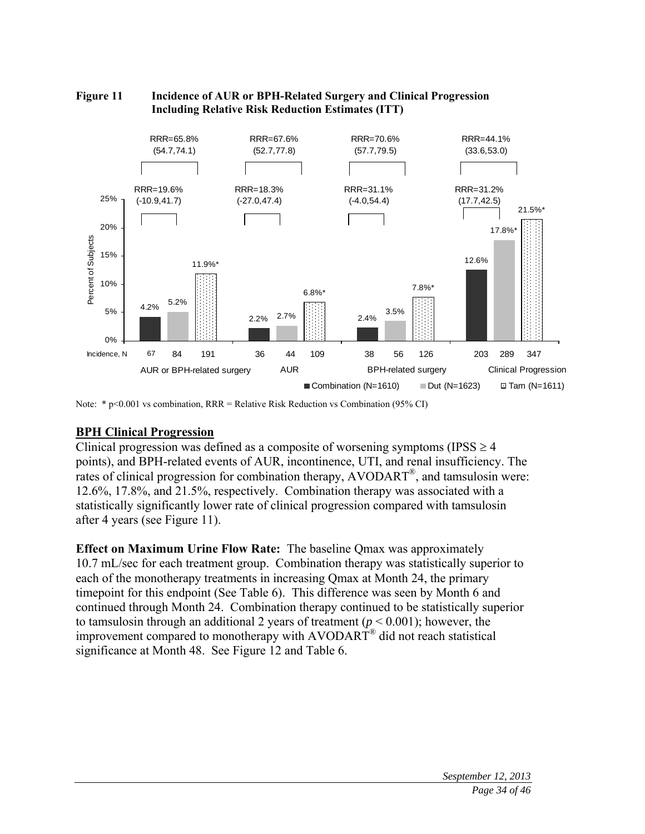

#### **Figure 11 Incidence of AUR or BPH-Related Surgery and Clinical Progression Including Relative Risk Reduction Estimates (ITT)**

### **BPH Clinical Progression**

Clinical progression was defined as a composite of worsening symptoms (IPSS  $\geq$  4 points), and BPH-related events of AUR, incontinence, UTI, and renal insufficiency. The rates of clinical progression for combination therapy, AVODART®, and tamsulosin were: 12.6%, 17.8%, and 21.5%, respectively. Combination therapy was associated with a statistically significantly lower rate of clinical progression compared with tamsulosin after 4 years (see Figure 11).

**Effect on Maximum Urine Flow Rate:** The baseline Qmax was approximately 10.7 mL/sec for each treatment group. Combination therapy was statistically superior to each of the monotherapy treatments in increasing Qmax at Month 24, the primary timepoint for this endpoint (See Table 6). This difference was seen by Month 6 and continued through Month 24. Combination therapy continued to be statistically superior to tamsulosin through an additional 2 years of treatment (*p* < 0.001); however, the improvement compared to monotherapy with AVODART<sup>®</sup> did not reach statistical significance at Month 48. See Figure 12 and Table 6.

Note: \* p<0.001 vs combination, RRR = Relative Risk Reduction vs Combination (95% CI)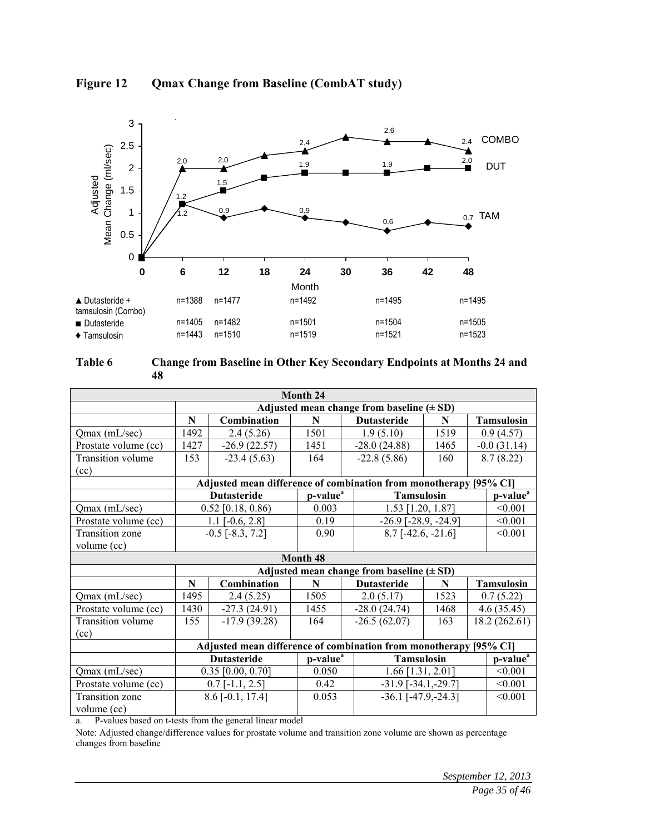

### **Figure 12 Qmax Change from Baseline (CombAT study)**



| Month 24                 |                                                                 |                                                                   |                      |                                               |                      |         |                      |  |
|--------------------------|-----------------------------------------------------------------|-------------------------------------------------------------------|----------------------|-----------------------------------------------|----------------------|---------|----------------------|--|
|                          |                                                                 |                                                                   |                      | Adjusted mean change from baseline $(\pm SD)$ |                      |         |                      |  |
|                          | N                                                               | Combination                                                       | N                    | <b>Dutasteride</b>                            | N                    |         | <b>Tamsulosin</b>    |  |
| Qmax (mL/sec)            | 1492                                                            | 2.4(5.26)                                                         | 1501                 | 1.9(5.10)                                     | 1519                 |         | 0.9(4.57)            |  |
| Prostate volume (cc)     | 1427                                                            | $-26.9(22.57)$                                                    | 1451                 | $-28.0(24.88)$                                | 1465                 |         | $-0.0(31.14)$        |  |
| <b>Transition</b> volume | 153                                                             | $-23.4(5.63)$                                                     | 164                  | $-22.8(5.86)$                                 | 160                  |         | 8.7(8.22)            |  |
| (cc)                     |                                                                 |                                                                   |                      |                                               |                      |         |                      |  |
|                          |                                                                 | Adjusted mean difference of combination from monotherapy [95% CI] |                      |                                               |                      |         |                      |  |
|                          |                                                                 | <b>Dutasteride</b>                                                | p-value <sup>a</sup> | <b>Tamsulosin</b>                             |                      |         | p-value <sup>a</sup> |  |
| Qmax (mL/sec)            |                                                                 | $0.52$ [0.18, 0.86)                                               | 0.003                | 1.53 [1.20, 1.87]                             |                      |         | < 0.001              |  |
| Prostate volume (cc)     |                                                                 | $1.1$ [-0.6, 2.8]                                                 | 0.19                 | $-26.9$ [ $-28.9, -24.9$ ]                    |                      |         | < 0.001              |  |
| <b>Transition zone</b>   |                                                                 | $-0.5$ [ $-8.3$ , 7.2]                                            | 0.90                 | $8.7$ [-42.6, -21.6]                          |                      | < 0.001 |                      |  |
| volume (cc)              |                                                                 |                                                                   |                      |                                               |                      |         |                      |  |
|                          |                                                                 |                                                                   | Month 48             |                                               |                      |         |                      |  |
|                          |                                                                 |                                                                   |                      | Adjusted mean change from baseline $(\pm SD)$ |                      |         |                      |  |
|                          | $\mathbf N$                                                     | Combination                                                       | N                    | <b>Dutasteride</b>                            | N                    |         | <b>Tamsulosin</b>    |  |
| Qmax (mL/sec)            | 1495                                                            | 2.4(5.25)                                                         | 1505                 | 2.0(5.17)                                     | 1523                 |         | 0.7(5.22)            |  |
| Prostate volume (cc)     | 1430                                                            | $-27.3(24.91)$                                                    | 1455                 | $-28.0(24.74)$                                | 1468                 |         | 4.6(35.45)           |  |
| Transition volume        | 155                                                             | $-17.9(39.28)$                                                    | 164                  | $-26.5(62.07)$                                | 163                  |         | 18.2(262.61)         |  |
| (cc)                     |                                                                 |                                                                   |                      |                                               |                      |         |                      |  |
|                          |                                                                 | Adjusted mean difference of combination from monotherapy [95% CI] |                      |                                               |                      |         |                      |  |
|                          | p-value <sup>a</sup><br><b>Dutasteride</b><br><b>Tamsulosin</b> |                                                                   |                      |                                               | p-value <sup>a</sup> |         |                      |  |
| Qmax (mL/sec)            |                                                                 | $0.35$ [0.00, 0.70]                                               | 0.050                | $1.66$ [1.31, 2.01]                           |                      |         | < 0.001              |  |
| Prostate volume (cc)     |                                                                 | $0.7$ [-1.1, 2.5]                                                 | 0.42                 | $-31.9$ [ $-34.1, -29.7$ ]                    |                      |         | < 0.001              |  |
| Transition zone          |                                                                 | $8.6$ [-0.1, 17.4]                                                | 0.053                | $-36.1$ [ $-47.9, -24.3$ ]                    |                      | < 0.001 |                      |  |
| volume (cc)              |                                                                 |                                                                   |                      |                                               |                      |         |                      |  |

a. P-values based on t-tests from the general linear model

Note: Adjusted change/difference values for prostate volume and transition zone volume are shown as percentage changes from baseline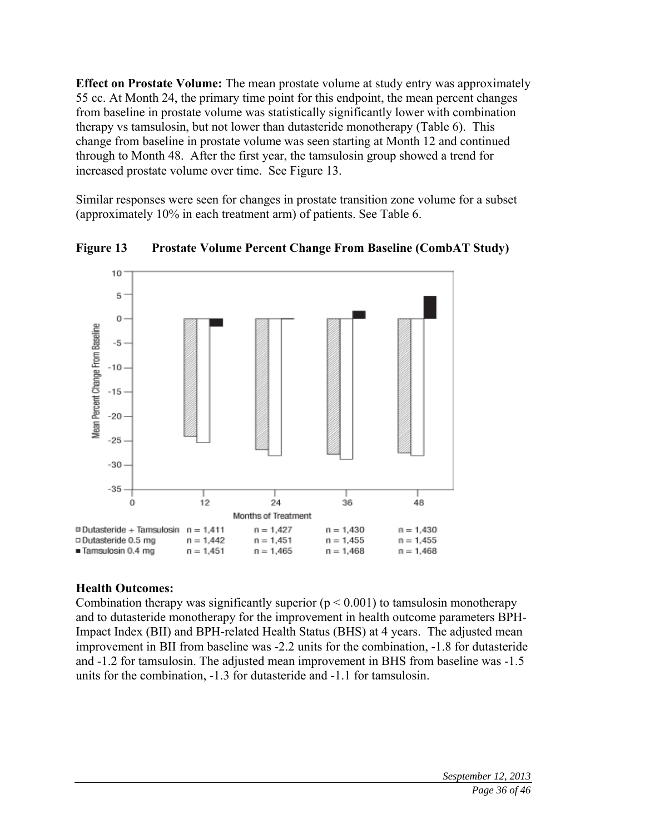**Effect on Prostate Volume:** The mean prostate volume at study entry was approximately 55 cc. At Month 24, the primary time point for this endpoint, the mean percent changes from baseline in prostate volume was statistically significantly lower with combination therapy vs tamsulosin, but not lower than dutasteride monotherapy (Table 6). This change from baseline in prostate volume was seen starting at Month 12 and continued through to Month 48. After the first year, the tamsulosin group showed a trend for increased prostate volume over time. See Figure 13.

Similar responses were seen for changes in prostate transition zone volume for a subset (approximately 10% in each treatment arm) of patients. See Table 6.



**Figure 13 Prostate Volume Percent Change From Baseline (CombAT Study)** 

# **Health Outcomes:**

Combination therapy was significantly superior  $(p < 0.001)$  to tamsulosin monotherapy and to dutasteride monotherapy for the improvement in health outcome parameters BPH-Impact Index (BII) and BPH-related Health Status (BHS) at 4 years. The adjusted mean improvement in BII from baseline was -2.2 units for the combination, -1.8 for dutasteride and -1.2 for tamsulosin. The adjusted mean improvement in BHS from baseline was -1.5 units for the combination, -1.3 for dutasteride and -1.1 for tamsulosin.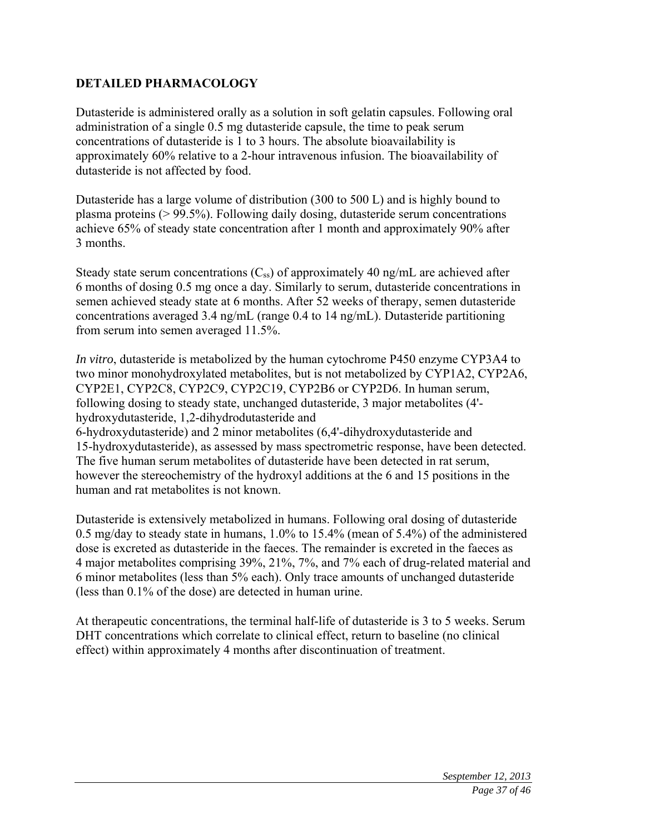# **DETAILED PHARMACOLOGY**

Dutasteride is administered orally as a solution in soft gelatin capsules. Following oral administration of a single 0.5 mg dutasteride capsule, the time to peak serum concentrations of dutasteride is 1 to 3 hours. The absolute bioavailability is approximately 60% relative to a 2-hour intravenous infusion. The bioavailability of dutasteride is not affected by food.

Dutasteride has a large volume of distribution (300 to 500 L) and is highly bound to plasma proteins (> 99.5%). Following daily dosing, dutasteride serum concentrations achieve 65% of steady state concentration after 1 month and approximately 90% after 3 months.

Steady state serum concentrations  $(C_{ss})$  of approximately 40 ng/mL are achieved after 6 months of dosing 0.5 mg once a day. Similarly to serum, dutasteride concentrations in semen achieved steady state at 6 months. After 52 weeks of therapy, semen dutasteride concentrations averaged 3.4 ng/mL (range 0.4 to 14 ng/mL). Dutasteride partitioning from serum into semen averaged 11.5%.

*In vitro*, dutasteride is metabolized by the human cytochrome P450 enzyme CYP3A4 to two minor monohydroxylated metabolites, but is not metabolized by CYP1A2, CYP2A6, CYP2E1, CYP2C8, CYP2C9, CYP2C19, CYP2B6 or CYP2D6. In human serum, following dosing to steady state, unchanged dutasteride, 3 major metabolites (4' hydroxydutasteride, 1,2-dihydrodutasteride and 6-hydroxydutasteride) and 2 minor metabolites (6,4'-dihydroxydutasteride and 15-hydroxydutasteride), as assessed by mass spectrometric response, have been detected. The five human serum metabolites of dutasteride have been detected in rat serum, however the stereochemistry of the hydroxyl additions at the 6 and 15 positions in the human and rat metabolites is not known.

Dutasteride is extensively metabolized in humans. Following oral dosing of dutasteride 0.5 mg/day to steady state in humans, 1.0% to 15.4% (mean of 5.4%) of the administered dose is excreted as dutasteride in the faeces. The remainder is excreted in the faeces as 4 major metabolites comprising 39%, 21%, 7%, and 7% each of drug-related material and 6 minor metabolites (less than 5% each). Only trace amounts of unchanged dutasteride (less than 0.1% of the dose) are detected in human urine.

At therapeutic concentrations, the terminal half-life of dutasteride is 3 to 5 weeks. Serum DHT concentrations which correlate to clinical effect, return to baseline (no clinical effect) within approximately 4 months after discontinuation of treatment.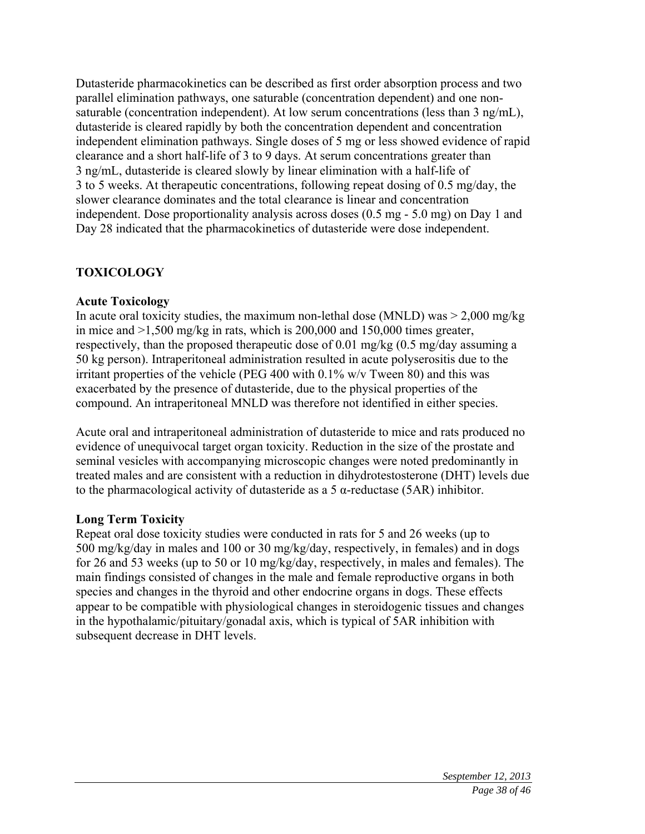Dutasteride pharmacokinetics can be described as first order absorption process and two parallel elimination pathways, one saturable (concentration dependent) and one nonsaturable (concentration independent). At low serum concentrations (less than 3 ng/mL), dutasteride is cleared rapidly by both the concentration dependent and concentration independent elimination pathways. Single doses of 5 mg or less showed evidence of rapid clearance and a short half-life of 3 to 9 days. At serum concentrations greater than 3 ng/mL, dutasteride is cleared slowly by linear elimination with a half-life of 3 to 5 weeks. At therapeutic concentrations, following repeat dosing of 0.5 mg/day, the slower clearance dominates and the total clearance is linear and concentration independent. Dose proportionality analysis across doses (0.5 mg - 5.0 mg) on Day 1 and Day 28 indicated that the pharmacokinetics of dutasteride were dose independent.

### **TOXICOLOGY**

### **Acute Toxicology**

In acute oral toxicity studies, the maximum non-lethal dose (MNLD) was  $> 2,000$  mg/kg in mice and >1,500 mg/kg in rats, which is 200,000 and 150,000 times greater, respectively, than the proposed therapeutic dose of 0.01 mg/kg (0.5 mg/day assuming a 50 kg person). Intraperitoneal administration resulted in acute polyserositis due to the irritant properties of the vehicle (PEG 400 with 0.1% w/v Tween 80) and this was exacerbated by the presence of dutasteride, due to the physical properties of the compound. An intraperitoneal MNLD was therefore not identified in either species.

Acute oral and intraperitoneal administration of dutasteride to mice and rats produced no evidence of unequivocal target organ toxicity. Reduction in the size of the prostate and seminal vesicles with accompanying microscopic changes were noted predominantly in treated males and are consistent with a reduction in dihydrotestosterone (DHT) levels due to the pharmacological activity of dutasteride as a  $5 \alpha$ -reductase (5AR) inhibitor.

### **Long Term Toxicity**

Repeat oral dose toxicity studies were conducted in rats for 5 and 26 weeks (up to 500 mg/kg/day in males and 100 or 30 mg/kg/day, respectively, in females) and in dogs for 26 and 53 weeks (up to 50 or 10 mg/kg/day, respectively, in males and females). The main findings consisted of changes in the male and female reproductive organs in both species and changes in the thyroid and other endocrine organs in dogs. These effects appear to be compatible with physiological changes in steroidogenic tissues and changes in the hypothalamic/pituitary/gonadal axis, which is typical of 5AR inhibition with subsequent decrease in DHT levels.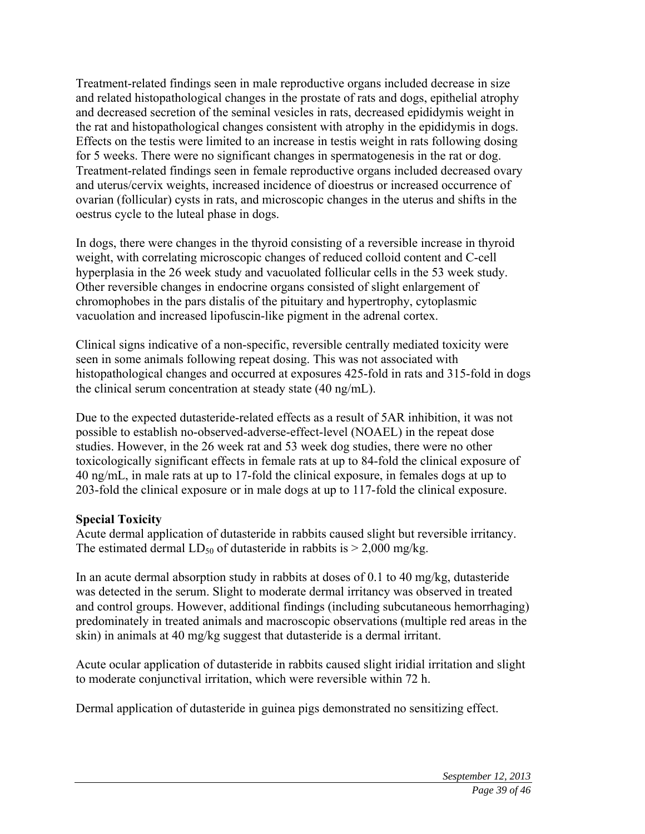Treatment-related findings seen in male reproductive organs included decrease in size and related histopathological changes in the prostate of rats and dogs, epithelial atrophy and decreased secretion of the seminal vesicles in rats, decreased epididymis weight in the rat and histopathological changes consistent with atrophy in the epididymis in dogs. Effects on the testis were limited to an increase in testis weight in rats following dosing for 5 weeks. There were no significant changes in spermatogenesis in the rat or dog. Treatment-related findings seen in female reproductive organs included decreased ovary and uterus/cervix weights, increased incidence of dioestrus or increased occurrence of ovarian (follicular) cysts in rats, and microscopic changes in the uterus and shifts in the oestrus cycle to the luteal phase in dogs.

In dogs, there were changes in the thyroid consisting of a reversible increase in thyroid weight, with correlating microscopic changes of reduced colloid content and C-cell hyperplasia in the 26 week study and vacuolated follicular cells in the 53 week study. Other reversible changes in endocrine organs consisted of slight enlargement of chromophobes in the pars distalis of the pituitary and hypertrophy, cytoplasmic vacuolation and increased lipofuscin-like pigment in the adrenal cortex.

Clinical signs indicative of a non-specific, reversible centrally mediated toxicity were seen in some animals following repeat dosing. This was not associated with histopathological changes and occurred at exposures 425-fold in rats and 315-fold in dogs the clinical serum concentration at steady state (40 ng/mL).

Due to the expected dutasteride-related effects as a result of 5AR inhibition, it was not possible to establish no-observed-adverse-effect-level (NOAEL) in the repeat dose studies. However, in the 26 week rat and 53 week dog studies, there were no other toxicologically significant effects in female rats at up to 84-fold the clinical exposure of 40 ng/mL, in male rats at up to 17-fold the clinical exposure, in females dogs at up to 203-fold the clinical exposure or in male dogs at up to 117-fold the clinical exposure.

# **Special Toxicity**

Acute dermal application of dutasteride in rabbits caused slight but reversible irritancy. The estimated dermal LD<sub>50</sub> of dutasteride in rabbits is  $> 2,000$  mg/kg.

In an acute dermal absorption study in rabbits at doses of 0.1 to 40 mg/kg, dutasteride was detected in the serum. Slight to moderate dermal irritancy was observed in treated and control groups. However, additional findings (including subcutaneous hemorrhaging) predominately in treated animals and macroscopic observations (multiple red areas in the skin) in animals at 40 mg/kg suggest that dutasteride is a dermal irritant.

Acute ocular application of dutasteride in rabbits caused slight iridial irritation and slight to moderate conjunctival irritation, which were reversible within 72 h.

Dermal application of dutasteride in guinea pigs demonstrated no sensitizing effect.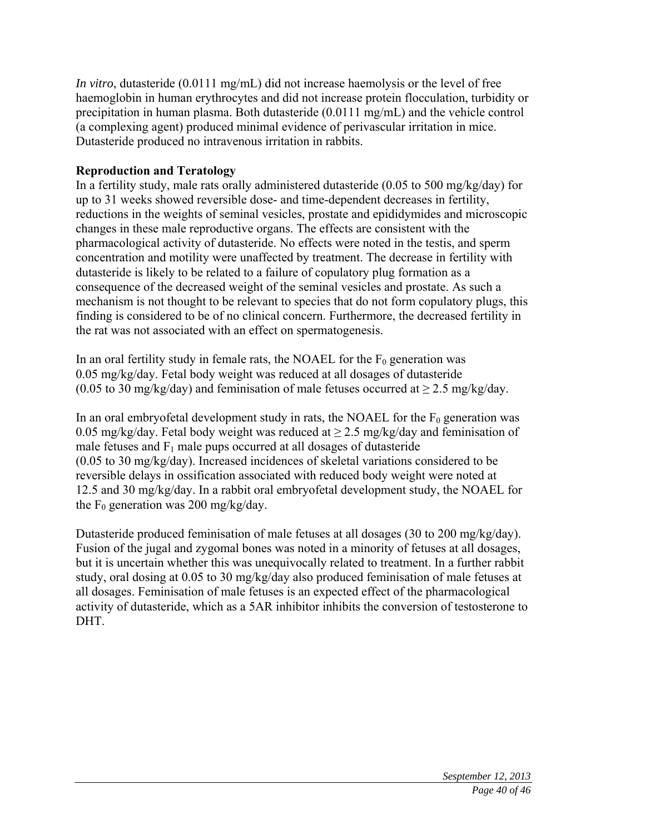*In vitro*, dutasteride (0.0111 mg/mL) did not increase haemolysis or the level of free haemoglobin in human erythrocytes and did not increase protein flocculation, turbidity or precipitation in human plasma. Both dutasteride (0.0111 mg/mL) and the vehicle control (a complexing agent) produced minimal evidence of perivascular irritation in mice. Dutasteride produced no intravenous irritation in rabbits.

# **Reproduction and Teratology**

In a fertility study, male rats orally administered dutasteride (0.05 to 500 mg/kg/day) for up to 31 weeks showed reversible dose- and time-dependent decreases in fertility, reductions in the weights of seminal vesicles, prostate and epididymides and microscopic changes in these male reproductive organs. The effects are consistent with the pharmacological activity of dutasteride. No effects were noted in the testis, and sperm concentration and motility were unaffected by treatment. The decrease in fertility with dutasteride is likely to be related to a failure of copulatory plug formation as a consequence of the decreased weight of the seminal vesicles and prostate. As such a mechanism is not thought to be relevant to species that do not form copulatory plugs, this finding is considered to be of no clinical concern. Furthermore, the decreased fertility in the rat was not associated with an effect on spermatogenesis.

In an oral fertility study in female rats, the NOAEL for the  $F_0$  generation was 0.05 mg/kg/day. Fetal body weight was reduced at all dosages of dutasteride (0.05 to 30 mg/kg/day) and feminisation of male fetuses occurred at  $\geq$  2.5 mg/kg/day.

In an oral embryofetal development study in rats, the NOAEL for the  $F_0$  generation was 0.05 mg/kg/day. Fetal body weight was reduced at  $\geq$  2.5 mg/kg/day and feminisation of male fetuses and  $F_1$  male pups occurred at all dosages of dutasteride (0.05 to 30 mg/kg/day). Increased incidences of skeletal variations considered to be reversible delays in ossification associated with reduced body weight were noted at 12.5 and 30 mg/kg/day. In a rabbit oral embryofetal development study, the NOAEL for the  $F_0$  generation was 200 mg/kg/day.

Dutasteride produced feminisation of male fetuses at all dosages (30 to 200 mg/kg/day). Fusion of the jugal and zygomal bones was noted in a minority of fetuses at all dosages, but it is uncertain whether this was unequivocally related to treatment. In a further rabbit study, oral dosing at 0.05 to 30 mg/kg/day also produced feminisation of male fetuses at all dosages. Feminisation of male fetuses is an expected effect of the pharmacological activity of dutasteride, which as a 5AR inhibitor inhibits the conversion of testosterone to DHT.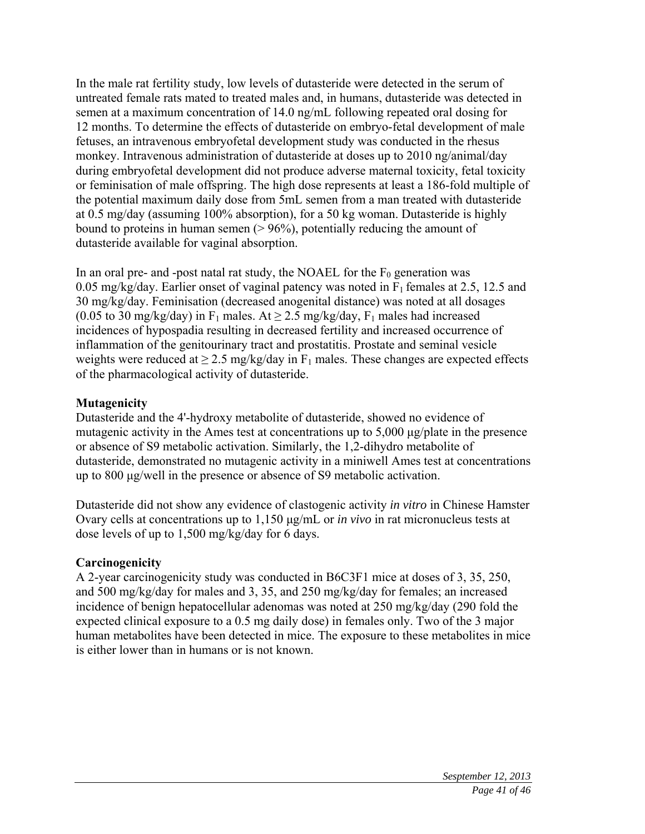In the male rat fertility study, low levels of dutasteride were detected in the serum of untreated female rats mated to treated males and, in humans, dutasteride was detected in semen at a maximum concentration of 14.0 ng/mL following repeated oral dosing for 12 months. To determine the effects of dutasteride on embryo-fetal development of male fetuses, an intravenous embryofetal development study was conducted in the rhesus monkey. Intravenous administration of dutasteride at doses up to 2010 ng/animal/day during embryofetal development did not produce adverse maternal toxicity, fetal toxicity or feminisation of male offspring. The high dose represents at least a 186-fold multiple of the potential maximum daily dose from 5mL semen from a man treated with dutasteride at 0.5 mg/day (assuming 100% absorption), for a 50 kg woman. Dutasteride is highly bound to proteins in human semen  $(> 96\%)$ , potentially reducing the amount of dutasteride available for vaginal absorption.

In an oral pre- and -post natal rat study, the NOAEL for the  $F_0$  generation was 0.05 mg/kg/day. Earlier onset of vaginal patency was noted in  $F_1$  females at 2.5, 12.5 and 30 mg/kg/day. Feminisation (decreased anogenital distance) was noted at all dosages (0.05 to 30 mg/kg/day) in  $F_1$  males. At  $\geq$  2.5 mg/kg/day,  $F_1$  males had increased incidences of hypospadia resulting in decreased fertility and increased occurrence of inflammation of the genitourinary tract and prostatitis. Prostate and seminal vesicle weights were reduced at  $\geq$  2.5 mg/kg/day in F<sub>1</sub> males. These changes are expected effects of the pharmacological activity of dutasteride.

### **Mutagenicity**

Dutasteride and the 4'-hydroxy metabolite of dutasteride, showed no evidence of mutagenic activity in the Ames test at concentrations up to 5,000 μg/plate in the presence or absence of S9 metabolic activation. Similarly, the 1,2-dihydro metabolite of dutasteride, demonstrated no mutagenic activity in a miniwell Ames test at concentrations up to 800 μg/well in the presence or absence of S9 metabolic activation.

Dutasteride did not show any evidence of clastogenic activity *in vitro* in Chinese Hamster Ovary cells at concentrations up to 1,150 μg/mL or *in vivo* in rat micronucleus tests at dose levels of up to 1,500 mg/kg/day for 6 days.

### **Carcinogenicity**

A 2-year carcinogenicity study was conducted in B6C3F1 mice at doses of 3, 35, 250, and 500 mg/kg/day for males and 3, 35, and 250 mg/kg/day for females; an increased incidence of benign hepatocellular adenomas was noted at 250 mg/kg/day (290 fold the expected clinical exposure to a 0.5 mg daily dose) in females only. Two of the 3 major human metabolites have been detected in mice. The exposure to these metabolites in mice is either lower than in humans or is not known.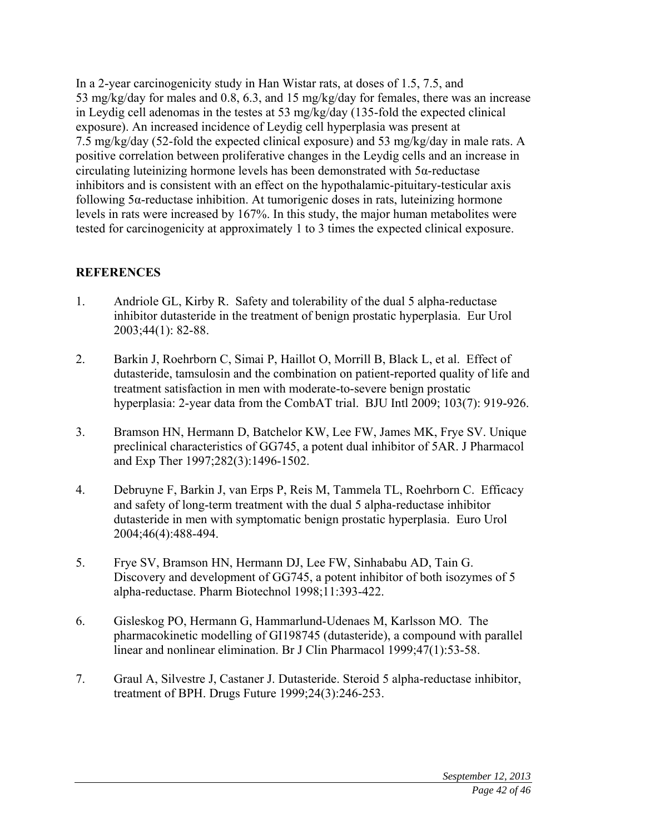In a 2-year carcinogenicity study in Han Wistar rats, at doses of 1.5, 7.5, and 53 mg/kg/day for males and 0.8, 6.3, and 15 mg/kg/day for females, there was an increase in Leydig cell adenomas in the testes at 53 mg/kg/day (135-fold the expected clinical exposure). An increased incidence of Leydig cell hyperplasia was present at 7.5 mg/kg/day (52-fold the expected clinical exposure) and 53 mg/kg/day in male rats. A positive correlation between proliferative changes in the Leydig cells and an increase in circulating luteinizing hormone levels has been demonstrated with 5α-reductase inhibitors and is consistent with an effect on the hypothalamic-pituitary-testicular axis following 5α-reductase inhibition. At tumorigenic doses in rats, luteinizing hormone levels in rats were increased by 167%. In this study, the major human metabolites were tested for carcinogenicity at approximately 1 to 3 times the expected clinical exposure.

### **REFERENCES**

- 1. Andriole GL, Kirby R. Safety and tolerability of the dual 5 alpha-reductase inhibitor dutasteride in the treatment of benign prostatic hyperplasia. Eur Urol 2003;44(1): 82-88.
- 2. Barkin J, Roehrborn C, Simai P, Haillot O, Morrill B, Black L, et al. Effect of dutasteride, tamsulosin and the combination on patient-reported quality of life and treatment satisfaction in men with moderate-to-severe benign prostatic hyperplasia: 2-year data from the CombAT trial. BJU Intl 2009; 103(7): 919-926.
- 3. Bramson HN, Hermann D, Batchelor KW, Lee FW, James MK, Frye SV. Unique preclinical characteristics of GG745, a potent dual inhibitor of 5AR. J Pharmacol and Exp Ther 1997;282(3):1496-1502.
- 4. Debruyne F, Barkin J, van Erps P, Reis M, Tammela TL, Roehrborn C. Efficacy and safety of long-term treatment with the dual 5 alpha-reductase inhibitor dutasteride in men with symptomatic benign prostatic hyperplasia. Euro Urol 2004;46(4):488-494.
- 5. Frye SV, Bramson HN, Hermann DJ, Lee FW, Sinhababu AD, Tain G. Discovery and development of GG745, a potent inhibitor of both isozymes of 5 alpha-reductase. Pharm Biotechnol 1998;11:393-422.
- 6. Gisleskog PO, Hermann G, Hammarlund-Udenaes M, Karlsson MO. The pharmacokinetic modelling of GI198745 (dutasteride), a compound with parallel linear and nonlinear elimination. Br J Clin Pharmacol 1999;47(1):53-58.
- 7. Graul A, Silvestre J, Castaner J. Dutasteride. Steroid 5 alpha-reductase inhibitor, treatment of BPH. Drugs Future 1999;24(3):246-253.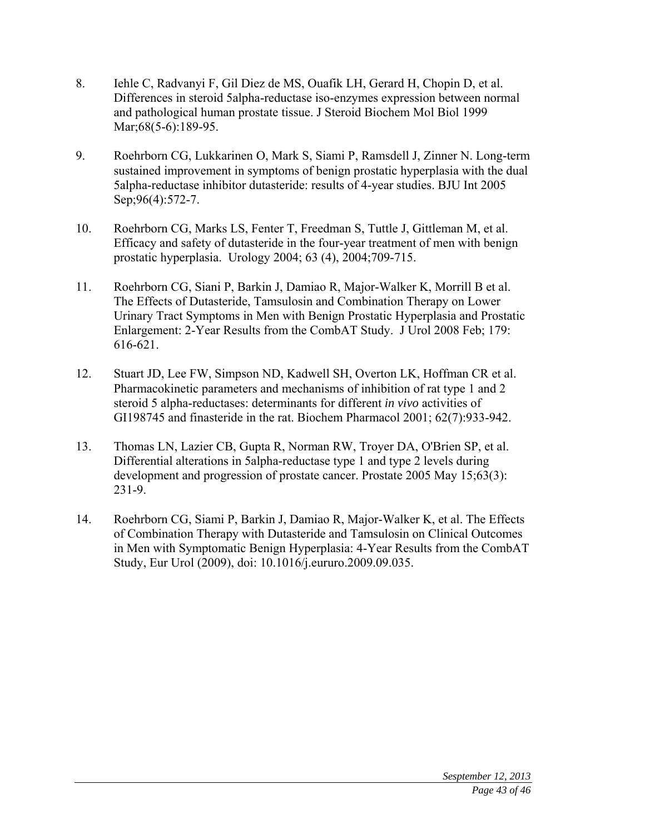- 8. Iehle C, Radvanyi F, Gil Diez de MS, Ouafik LH, Gerard H, Chopin D, et al. Differences in steroid 5alpha-reductase iso-enzymes expression between normal and pathological human prostate tissue. J Steroid Biochem Mol Biol 1999 Mar; 68(5-6): 189-95.
- 9. Roehrborn CG, Lukkarinen O, Mark S, Siami P, Ramsdell J, Zinner N. Long-term sustained improvement in symptoms of benign prostatic hyperplasia with the dual 5alpha-reductase inhibitor dutasteride: results of 4-year studies. BJU Int 2005 Sep;96(4):572-7.
- 10. Roehrborn CG, Marks LS, Fenter T, Freedman S, Tuttle J, Gittleman M, et al. Efficacy and safety of dutasteride in the four-year treatment of men with benign prostatic hyperplasia. Urology 2004; 63 (4), 2004;709-715.
- 11. Roehrborn CG, Siani P, Barkin J, Damiao R, Major-Walker K, Morrill B et al. The Effects of Dutasteride, Tamsulosin and Combination Therapy on Lower Urinary Tract Symptoms in Men with Benign Prostatic Hyperplasia and Prostatic Enlargement: 2-Year Results from the CombAT Study. J Urol 2008 Feb; 179: 616-621.
- 12. Stuart JD, Lee FW, Simpson ND, Kadwell SH, Overton LK, Hoffman CR et al. Pharmacokinetic parameters and mechanisms of inhibition of rat type 1 and 2 steroid 5 alpha-reductases: determinants for different *in vivo* activities of GI198745 and finasteride in the rat. Biochem Pharmacol 2001; 62(7):933-942.
- 13. Thomas LN, Lazier CB, Gupta R, Norman RW, Troyer DA, O'Brien SP, et al. Differential alterations in 5alpha-reductase type 1 and type 2 levels during development and progression of prostate cancer. Prostate 2005 May 15;63(3): 231-9.
- 14. Roehrborn CG, Siami P, Barkin J, Damiao R, Major-Walker K, et al. The Effects of Combination Therapy with Dutasteride and Tamsulosin on Clinical Outcomes in Men with Symptomatic Benign Hyperplasia: 4-Year Results from the CombAT Study, Eur Urol (2009), doi: 10.1016/j.eururo.2009.09.035.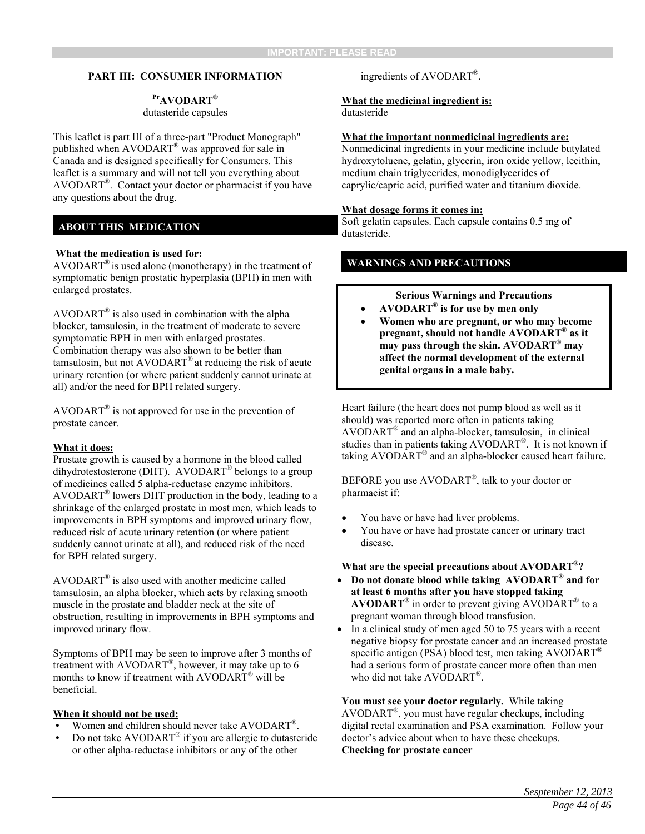#### **PART III: CONSUMER INFORMATION**

#### **PrAVODART®** dutasteride capsules

This leaflet is part III of a three-part "Product Monograph" published when AVODART® was approved for sale in Canada and is designed specifically for Consumers. This leaflet is a summary and will not tell you everything about AVODART®. Contact your doctor or pharmacist if you have any questions about the drug.

#### **ABOUT THIS MEDICATION**

#### **What the medication is used for:**

 $AVODART^{\circledast}$  is used alone (monotherapy) in the treatment of symptomatic benign prostatic hyperplasia (BPH) in men with enlarged prostates.

 $AVODART^{\circledR}$  is also used in combination with the alpha blocker, tamsulosin, in the treatment of moderate to severe symptomatic BPH in men with enlarged prostates. Combination therapy was also shown to be better than tamsulosin, but not  $AVODART^{\circledast}$  at reducing the risk of acute urinary retention (or where patient suddenly cannot urinate at all) and/or the need for BPH related surgery.

AVODART<sup>®</sup> is not approved for use in the prevention of prostate cancer.

#### **What it does:**

Prostate growth is caused by a hormone in the blood called dihydrotestosterone (DHT). AVODART® belongs to a group of medicines called 5 alpha-reductase enzyme inhibitors. AVODART® lowers DHT production in the body, leading to a shrinkage of the enlarged prostate in most men, which leads to improvements in BPH symptoms and improved urinary flow, reduced risk of acute urinary retention (or where patient suddenly cannot urinate at all), and reduced risk of the need for BPH related surgery.

AVODART® is also used with another medicine called tamsulosin, an alpha blocker, which acts by relaxing smooth muscle in the prostate and bladder neck at the site of obstruction, resulting in improvements in BPH symptoms and improved urinary flow.

Symptoms of BPH may be seen to improve after 3 months of treatment with AVODART®, however, it may take up to 6 months to know if treatment with AVODART® will be beneficial.

#### **When it should not be used:**

- Women and children should never take AVODART<sup>®</sup>.
- Do not take AVODART® if you are allergic to dutasteride or other alpha-reductase inhibitors or any of the other

#### ingredients of AVODART®.

#### **What the medicinal ingredient is:** dutasteride

#### **What the important nonmedicinal ingredients are:**

Nonmedicinal ingredients in your medicine include butylated hydroxytoluene, gelatin, glycerin, iron oxide yellow, lecithin, medium chain triglycerides, monodiglycerides of caprylic/capric acid, purified water and titanium dioxide.

#### **What dosage forms it comes in:**

Soft gelatin capsules. Each capsule contains 0.5 mg of dutasteride.

#### **WARNINGS AND PRECAUTIONS**

**Serious Warnings and Precautions** 

- **AVODART® is for use by men only**
- **Women who are pregnant, or who may become pregnant, should not handle AVODART® as it may pass through the skin. AVODART® may affect the normal development of the external genital organs in a male baby.**

Heart failure (the heart does not pump blood as well as it should) was reported more often in patients taking AVODART® and an alpha-blocker, tamsulosin, in clinical studies than in patients taking AVODART®. It is not known if taking AVODART® and an alpha-blocker caused heart failure.

BEFORE you use AVODART®, talk to your doctor or pharmacist if:

- You have or have had liver problems.
- You have or have had prostate cancer or urinary tract disease.

#### **What are the special precautions about AVODART®?**

- **Do not donate blood while taking AVODART® and for at least 6 months after you have stopped taking AVODART®** in order to prevent giving AVODART® to a pregnant woman through blood transfusion.
- In a clinical study of men aged 50 to 75 years with a recent negative biopsy for prostate cancer and an increased prostate specific antigen (PSA) blood test, men taking  $AVODART^{\circledR}$ had a serious form of prostate cancer more often than men who did not take AVODART®.

**You must see your doctor regularly.** While taking AVODART®, you must have regular checkups, including digital rectal examination and PSA examination. Follow your doctor's advice about when to have these checkups. **Checking for prostate cancer**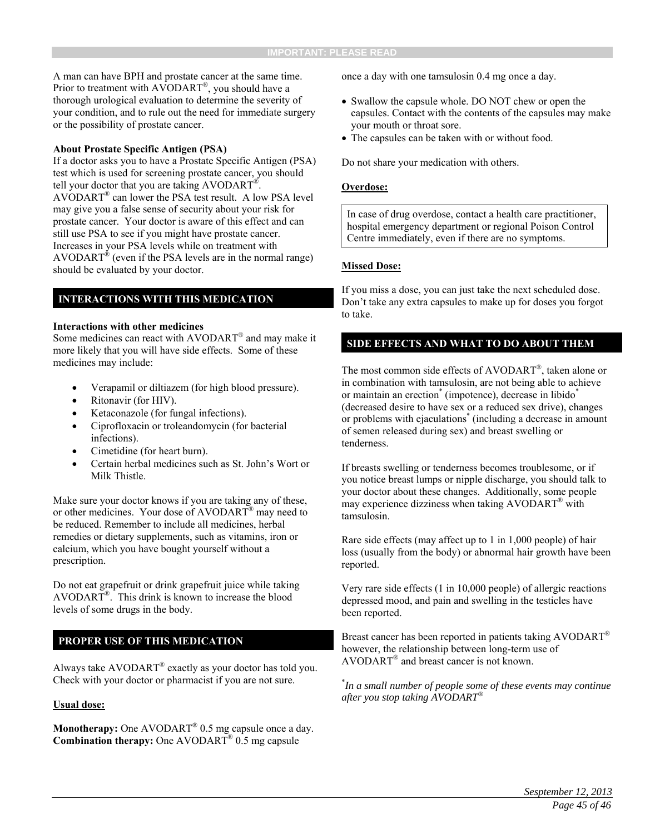A man can have BPH and prostate cancer at the same time. Prior to treatment with AVODART®, you should have a thorough urological evaluation to determine the severity of your condition, and to rule out the need for immediate surgery or the possibility of prostate cancer.

#### **About Prostate Specific Antigen (PSA)**

If a doctor asks you to have a Prostate Specific Antigen (PSA) test which is used for screening prostate cancer, you should tell your doctor that you are taking AVODART®. AVODART® can lower the PSA test result. A low PSA level may give you a false sense of security about your risk for prostate cancer. Your doctor is aware of this effect and can still use PSA to see if you might have prostate cancer. Increases in your PSA levels while on treatment with AVODART<sup>®</sup> (even if the PSA levels are in the normal range) should be evaluated by your doctor.

#### **INTERACTIONS WITH THIS MEDICATION**

#### **Interactions with other medicines**

Some medicines can react with AVODART® and may make it more likely that you will have side effects. Some of these medicines may include:

- Verapamil or diltiazem (for high blood pressure).
- Ritonavir (for HIV).
- Ketaconazole (for fungal infections).
- Ciprofloxacin or troleandomycin (for bacterial infections).
- Cimetidine (for heart burn).
- Certain herbal medicines such as St. John's Wort or Milk Thistle.

Make sure your doctor knows if you are taking any of these, or other medicines. Your dose of AVODART® may need to be reduced. Remember to include all medicines, herbal remedies or dietary supplements, such as vitamins, iron or calcium, which you have bought yourself without a prescription.

Do not eat grapefruit or drink grapefruit juice while taking AVODART®. This drink is known to increase the blood levels of some drugs in the body.

#### **PROPER USE OF THIS MEDICATION**

Always take AVODART® exactly as your doctor has told you. Check with your doctor or pharmacist if you are not sure.

#### **Usual dose:**

Monotherapy: One AVODART<sup>®</sup> 0.5 mg capsule once a day. **Combination therapy:** One AVODART® 0.5 mg capsule

once a day with one tamsulosin 0.4 mg once a day.

- Swallow the capsule whole. DO NOT chew or open the capsules. Contact with the contents of the capsules may make your mouth or throat sore.
- The capsules can be taken with or without food.

Do not share your medication with others.

#### **Overdose:**

In case of drug overdose, contact a health care practitioner, hospital emergency department or regional Poison Control Centre immediately, even if there are no symptoms.

#### **Missed Dose:**

If you miss a dose, you can just take the next scheduled dose. Don't take any extra capsules to make up for doses you forgot to take.

#### **SIDE EFFECTS AND WHAT TO DO ABOUT THEM**

The most common side effects of AVODART®, taken alone or in combination with tamsulosin, are not being able to achieve or maintain an erection<sup>\*</sup> (impotence), decrease in libido<sup>\*</sup> (decreased desire to have sex or a reduced sex drive), changes or problems with ejaculations\* (including a decrease in amount of semen released during sex) and breast swelling or tenderness.

If breasts swelling or tenderness becomes troublesome, or if you notice breast lumps or nipple discharge, you should talk to your doctor about these changes. Additionally, some people may experience dizziness when taking AVODART® with tamsulosin.

Rare side effects (may affect up to 1 in 1,000 people) of hair loss (usually from the body) or abnormal hair growth have been reported.

Very rare side effects (1 in 10,000 people) of allergic reactions depressed mood, and pain and swelling in the testicles have been reported.

Breast cancer has been reported in patients taking AVODART<sup>®</sup> however, the relationship between long-term use of AVODART® and breast cancer is not known.

\* *In a small number of people some of these events may continue after you stop taking AVODART®*